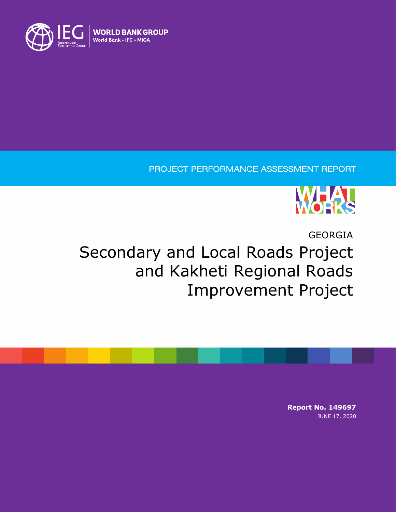

## PROJECT PERFORMANCE ASSESSMENT REPORT



GEORGIA

# Secondary and Local Roads Project and Kakheti Regional Roads Improvement Project

**Report No. 149697** JUNE 17, 2020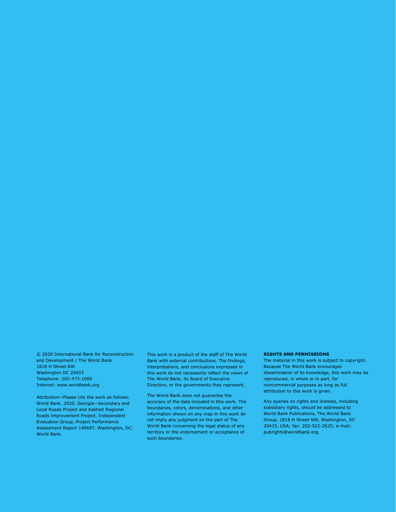© 2020 International Bank for Reconstruction and Development / The World Bank 1818 H Street NW Washington DC 20433 Telephone: 202-473-1000 Internet: www.worldbank.org

Attribution—Please cite the work as follows: World Bank. 2020. Georgia—Secondary and Local Roads Project and Kakheti Regional Roads Improvement Project. Independent Evaluation Group, Project Performance Assessment Report 149697. Washington, DC: World Bank.

This work is a product of the staff of The World Bank with external contributions. The findings, interpretations, and conclusions expressed in this work do not necessarily reflect the views of The World Bank, its Board of Executive Directors, or the governments they represent.

The World Bank does not guarantee the accuracy of the data included in this work. The boundaries, colors, denominations, and other information shown on any map in this work do not imply any judgment on the part of The World Bank concerning the legal status of any territory or the endorsement or acceptance of such boundaries.

#### **RIGHTS AND PERMISSIONS**

The material in this work is subject to copyright. Because The World Bank encourages dissemination of its knowledge, this work may be reproduced, in whole or in part, for noncommercial purposes as long as full attribution to this work is given.

Any queries on rights and licenses, including subsidiary rights, should be addressed to World Bank Publications, The World Bank Group, 1818 H Street NW, Washington, DC 20433, USA; fax: 202-522-2625; e-mail: pubrights@worldbank.org.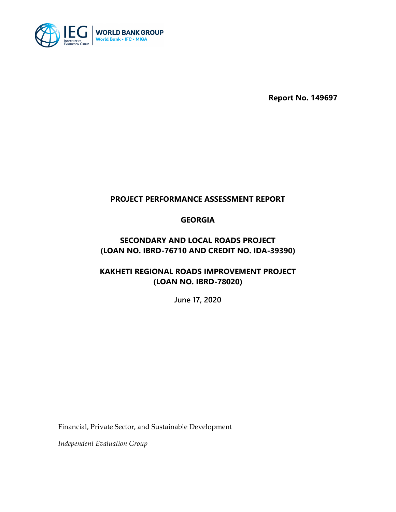

**Report No. 149697**

## **PROJECT PERFORMANCE ASSESSMENT REPORT**

## **GEORGIA**

## **SECONDARY AND LOCAL ROADS PROJECT (LOAN NO. IBRD-76710 AND CREDIT NO. IDA-39390)**

## **KAKHETI REGIONAL ROADS IMPROVEMENT PROJECT (LOAN NO. IBRD-78020)**

**June 17, 2020**

Financial, Private Sector, and Sustainable Development

*Independent Evaluation Group*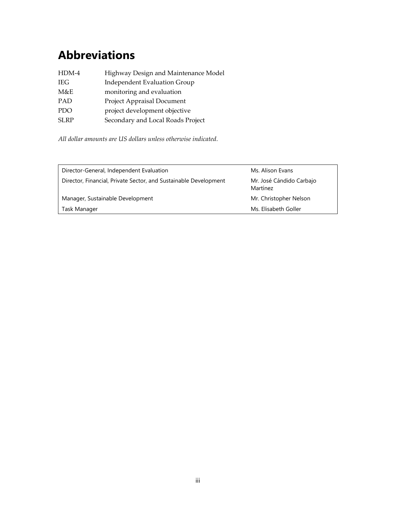## <span id="page-4-0"></span>**Abbreviations**

| HDM-4       | Highway Design and Maintenance Model |
|-------------|--------------------------------------|
| <b>IEG</b>  | <b>Independent Evaluation Group</b>  |
| M&E         | monitoring and evaluation            |
| <b>PAD</b>  | Project Appraisal Document           |
| PDO         | project development objective        |
| <b>SLRP</b> | Secondary and Local Roads Project    |

*All dollar amounts are US dollars unless otherwise indicated.*

| Director-General, Independent Evaluation                         | Ms. Alison Evans                     |  |
|------------------------------------------------------------------|--------------------------------------|--|
| Director, Financial, Private Sector, and Sustainable Development | Mr. José Cándido Carbajo<br>Martínez |  |
| Manager, Sustainable Development                                 | Mr. Christopher Nelson               |  |
| Task Manager                                                     | Ms. Elisabeth Goller                 |  |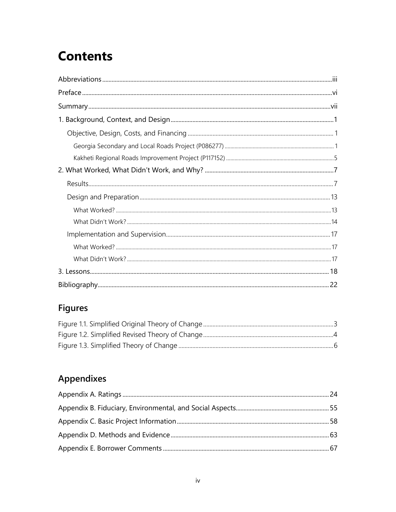## **Contents**

## **Figures**

## Appendixes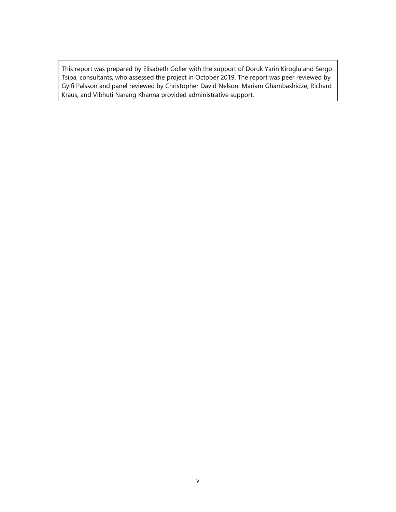This report was prepared by Elisabeth Goller with the support of Doruk Yarin Kiroglu and Sergo Tsipa, consultants, who assessed the project in October 2019. The report was peer reviewed by Gylfi Palsson and panel reviewed by Christopher David Nelson. Mariam Ghambashidze, Richard Kraus, and Vibhuti Narang Khanna provided administrative support.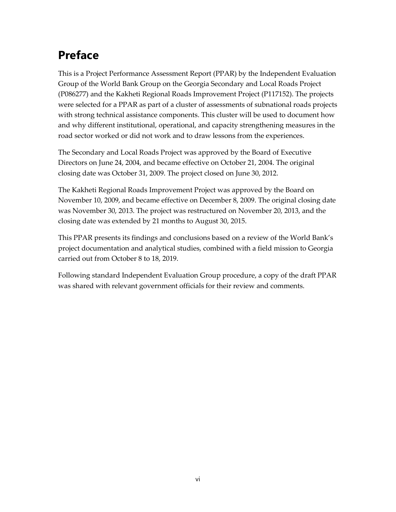## <span id="page-7-0"></span>**Preface**

This is a Project Performance Assessment Report (PPAR) by the Independent Evaluation Group of the World Bank Group on the Georgia Secondary and Local Roads Project (P086277) and the Kakheti Regional Roads Improvement Project (P117152). The projects were selected for a PPAR as part of a cluster of assessments of subnational roads projects with strong technical assistance components. This cluster will be used to document how and why different institutional, operational, and capacity strengthening measures in the road sector worked or did not work and to draw lessons from the experiences.

The Secondary and Local Roads Project was approved by the Board of Executive Directors on June 24, 2004, and became effective on October 21, 2004. The original closing date was October 31, 2009. The project closed on June 30, 2012.

The Kakheti Regional Roads Improvement Project was approved by the Board on November 10, 2009, and became effective on December 8, 2009. The original closing date was November 30, 2013. The project was restructured on November 20, 2013, and the closing date was extended by 21 months to August 30, 2015.

This PPAR presents its findings and conclusions based on a review of the World Bank's project documentation and analytical studies, combined with a field mission to Georgia carried out from October 8 to 18, 2019.

Following standard Independent Evaluation Group procedure, a copy of the draft PPAR was shared with relevant government officials for their review and comments.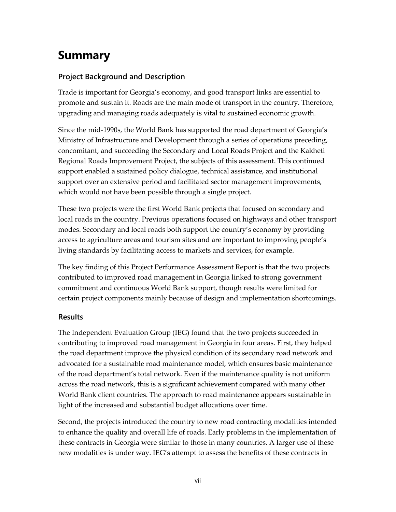## <span id="page-8-0"></span>**Summary**

## **Project Background and Description**

Trade is important for Georgia's economy, and good transport links are essential to promote and sustain it. Roads are the main mode of transport in the country. Therefore, upgrading and managing roads adequately is vital to sustained economic growth.

Since the mid-1990s, the World Bank has supported the road department of Georgia's Ministry of Infrastructure and Development through a series of operations preceding, concomitant, and succeeding the Secondary and Local Roads Project and the Kakheti Regional Roads Improvement Project, the subjects of this assessment. This continued support enabled a sustained policy dialogue, technical assistance, and institutional support over an extensive period and facilitated sector management improvements, which would not have been possible through a single project.

These two projects were the first World Bank projects that focused on secondary and local roads in the country. Previous operations focused on highways and other transport modes. Secondary and local roads both support the country's economy by providing access to agriculture areas and tourism sites and are important to improving people's living standards by facilitating access to markets and services, for example.

The key finding of this Project Performance Assessment Report is that the two projects contributed to improved road management in Georgia linked to strong government commitment and continuous World Bank support, though results were limited for certain project components mainly because of design and implementation shortcomings.

### **Results**

The Independent Evaluation Group (IEG) found that the two projects succeeded in contributing to improved road management in Georgia in four areas. First, they helped the road department improve the physical condition of its secondary road network and advocated for a sustainable road maintenance model, which ensures basic maintenance of the road department's total network. Even if the maintenance quality is not uniform across the road network, this is a significant achievement compared with many other World Bank client countries. The approach to road maintenance appears sustainable in light of the increased and substantial budget allocations over time.

Second, the projects introduced the country to new road contracting modalities intended to enhance the quality and overall life of roads. Early problems in the implementation of these contracts in Georgia were similar to those in many countries. A larger use of these new modalities is under way. IEG's attempt to assess the benefits of these contracts in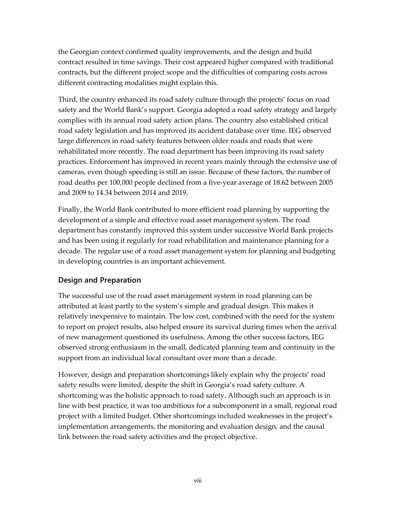the Georgian context confirmed quality improvements, and the design and build contract resulted in time savings. Their cost appeared higher compared with traditional contracts, but the different project scope and the difficulties of comparing costs across different contracting modalities might explain this.

Third, the country enhanced its road safety culture through the projects' focus on road safety and the World Bank's support. Georgia adopted a road safety strategy and largely complies with its annual road safety action plans. The country also established critical road safety legislation and has improved its accident database over time. IEG observed large differences in road safety features between older roads and roads that were rehabilitated more recently. The road department has been improving its road safety practices. Enforcement has improved in recent years mainly through the extensive use of cameras, even though speeding is still an issue. Because of these factors, the number of road deaths per 100,000 people declined from a five-year average of 18.62 between 2005 and 2009 to 14.34 between 2014 and 2019.

Finally, the World Bank contributed to more efficient road planning by supporting the development of a simple and effective road asset management system. The road department has constantly improved this system under successive World Bank projects and has been using it regularly for road rehabilitation and maintenance planning for a decade. The regular use of a road asset management system for planning and budgeting in developing countries is an important achievement.

### **Design and Preparation**

The successful use of the road asset management system in road planning can be attributed at least partly to the system's simple and gradual design. This makes it relatively inexpensive to maintain. The low cost, combined with the need for the system to report on project results, also helped ensure its survival during times when the arrival of new management questioned its usefulness. Among the other success factors, IEG observed strong enthusiasm in the small, dedicated planning team and continuity in the support from an individual local consultant over more than a decade.

However, design and preparation shortcomings likely explain why the projects' road safety results were limited, despite the shift in Georgia's road safety culture. A shortcoming was the holistic approach to road safety. Although such an approach is in line with best practice, it was too ambitious for a subcomponent in a small, regional road project with a limited budget. Other shortcomings included weaknesses in the project's implementation arrangements, the monitoring and evaluation design, and the causal link between the road safety activities and the project objective.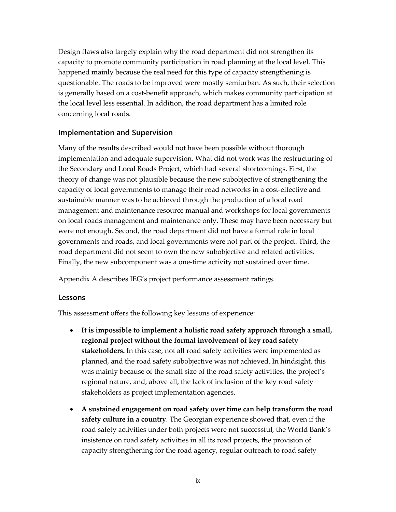Design flaws also largely explain why the road department did not strengthen its capacity to promote community participation in road planning at the local level. This happened mainly because the real need for this type of capacity strengthening is questionable. The roads to be improved were mostly semiurban. As such, their selection is generally based on a cost-benefit approach, which makes community participation at the local level less essential. In addition, the road department has a limited role concerning local roads.

### **Implementation and Supervision**

Many of the results described would not have been possible without thorough implementation and adequate supervision. What did not work was the restructuring of the Secondary and Local Roads Project, which had several shortcomings. First, the theory of change was not plausible because the new subobjective of strengthening the capacity of local governments to manage their road networks in a cost-effective and sustainable manner was to be achieved through the production of a local road management and maintenance resource manual and workshops for local governments on local roads management and maintenance only. These may have been necessary but were not enough. Second, the road department did not have a formal role in local governments and roads, and local governments were not part of the project. Third, the road department did not seem to own the new subobjective and related activities. Finally, the new subcomponent was a one-time activity not sustained over time.

Appendix A describes IEG's project performance assessment ratings.

### **Lessons**

This assessment offers the following key lessons of experience:

- **It is impossible to implement a holistic road safety approach through a small, regional project without the formal involvement of key road safety stakeholders.** In this case, not all road safety activities were implemented as planned, and the road safety subobjective was not achieved. In hindsight, this was mainly because of the small size of the road safety activities, the project's regional nature, and, above all, the lack of inclusion of the key road safety stakeholders as project implementation agencies.
- **A sustained engagement on road safety over time can help transform the road safety culture in a country**. The Georgian experience showed that, even if the road safety activities under both projects were not successful, the World Bank's insistence on road safety activities in all its road projects, the provision of capacity strengthening for the road agency, regular outreach to road safety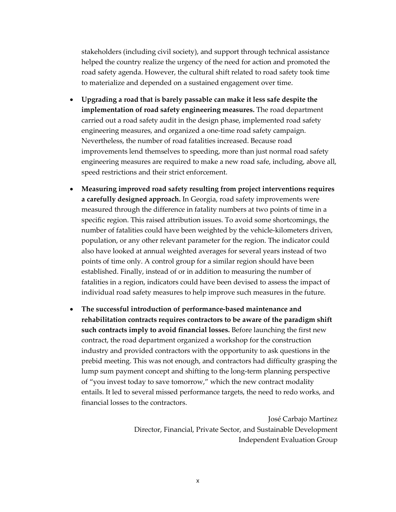stakeholders (including civil society), and support through technical assistance helped the country realize the urgency of the need for action and promoted the road safety agenda. However, the cultural shift related to road safety took time to materialize and depended on a sustained engagement over time.

- **Upgrading a road that is barely passable can make it less safe despite the implementation of road safety engineering measures.** The road department carried out a road safety audit in the design phase, implemented road safety engineering measures, and organized a one-time road safety campaign. Nevertheless, the number of road fatalities increased. Because road improvements lend themselves to speeding, more than just normal road safety engineering measures are required to make a new road safe, including, above all, speed restrictions and their strict enforcement.
- **Measuring improved road safety resulting from project interventions requires a carefully designed approach.** In Georgia, road safety improvements were measured through the difference in fatality numbers at two points of time in a specific region. This raised attribution issues. To avoid some shortcomings, the number of fatalities could have been weighted by the vehicle-kilometers driven, population, or any other relevant parameter for the region. The indicator could also have looked at annual weighted averages for several years instead of two points of time only. A control group for a similar region should have been established. Finally, instead of or in addition to measuring the number of fatalities in a region, indicators could have been devised to assess the impact of individual road safety measures to help improve such measures in the future.
- **The successful introduction of performance-based maintenance and rehabilitation contracts requires contractors to be aware of the paradigm shift such contracts imply to avoid financial losses.** Before launching the first new contract, the road department organized a workshop for the construction industry and provided contractors with the opportunity to ask questions in the prebid meeting. This was not enough, and contractors had difficulty grasping the lump sum payment concept and shifting to the long-term planning perspective of "you invest today to save tomorrow," which the new contract modality entails. It led to several missed performance targets, the need to redo works, and financial losses to the contractors.

José Carbajo Martínez Director, Financial, Private Sector, and Sustainable Development Independent Evaluation Group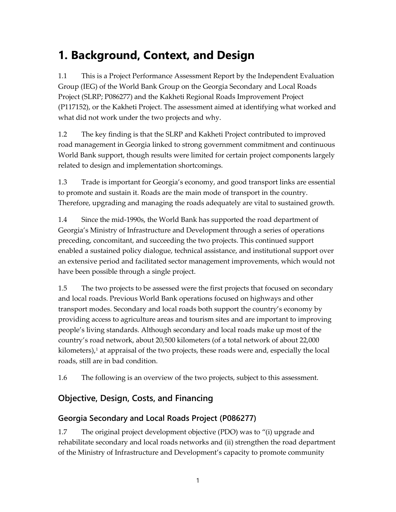## <span id="page-12-0"></span>**1. Background, Context, and Design**

1.1 This is a Project Performance Assessment Report by the Independent Evaluation Group (IEG) of the World Bank Group on the Georgia Secondary and Local Roads Project (SLRP; P086277) and the Kakheti Regional Roads Improvement Project (P117152), or the Kakheti Project. The assessment aimed at identifying what worked and what did not work under the two projects and why.

1.2 The key finding is that the SLRP and Kakheti Project contributed to improved road management in Georgia linked to strong government commitment and continuous World Bank support, though results were limited for certain project components largely related to design and implementation shortcomings.

1.3 Trade is important for Georgia's economy, and good transport links are essential to promote and sustain it. Roads are the main mode of transport in the country. Therefore, upgrading and managing the roads adequately are vital to sustained growth.

1.4 Since the mid-1990s, the World Bank has supported the road department of Georgia's Ministry of Infrastructure and Development through a series of operations preceding, concomitant, and succeeding the two projects. This continued support enabled a sustained policy dialogue, technical assistance, and institutional support over an extensive period and facilitated sector management improvements, which would not have been possible through a single project.

1.5 The two projects to be assessed were the first projects that focused on secondary and local roads. Previous World Bank operations focused on highways and other transport modes. Secondary and local roads both support the country's economy by providing access to agriculture areas and tourism sites and are important to improving people's living standards. Although secondary and local roads make up most of the country's road network, about 20,500 kilometers (of a total network of about 22,000 kilometers), [1](#page-13-0) at appraisal of the two projects, these roads were and, especially the local roads, still are in bad condition.

1.6 The following is an overview of the two projects, subject to this assessment.

## <span id="page-12-1"></span>**Objective, Design, Costs, and Financing**

## <span id="page-12-2"></span>**Georgia Secondary and Local Roads Project (P086277)**

1.7 The original project development objective (PDO) was to "(i) upgrade and rehabilitate secondary and local roads networks and (ii) strengthen the road department of the Ministry of Infrastructure and Development's capacity to promote community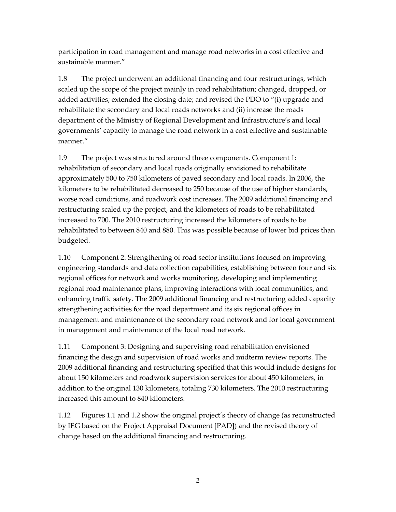participation in road management and manage road networks in a cost effective and sustainable manner."

<span id="page-13-0"></span>1.8 The project underwent an additional financing and four restructurings, which scaled up the scope of the project mainly in road rehabilitation; changed, dropped, or added activities; extended the closing date; and revised the PDO to "(i) upgrade and rehabilitate the secondary and local roads networks and (ii) increase the roads department of the Ministry of Regional Development and Infrastructure's and local governments' capacity to manage the road network in a cost effective and sustainable manner."

1.9 The project was structured around three components. Component 1: rehabilitation of secondary and local roads originally envisioned to rehabilitate approximately 500 to 750 kilometers of paved secondary and local roads. In 2006, the kilometers to be rehabilitated decreased to 250 because of the use of higher standards, worse road conditions, and roadwork cost increases. The 2009 additional financing and restructuring scaled up the project, and the kilometers of roads to be rehabilitated increased to 700. The 2010 restructuring increased the kilometers of roads to be rehabilitated to between 840 and 880. This was possible because of lower bid prices than budgeted.

1.10 Component 2: Strengthening of road sector institutions focused on improving engineering standards and data collection capabilities, establishing between four and six regional offices for network and works monitoring, developing and implementing regional road maintenance plans, improving interactions with local communities, and enhancing traffic safety. The 2009 additional financing and restructuring added capacity strengthening activities for the road department and its six regional offices in management and maintenance of the secondary road network and for local government in management and maintenance of the local road network.

1.11 Component 3: Designing and supervising road rehabilitation envisioned financing the design and supervision of road works and midterm review reports. The 2009 additional financing and restructuring specified that this would include designs for about 150 kilometers and roadwork supervision services for about 450 kilometers, in addition to the original 130 kilometers, totaling 730 kilometers. The 2010 restructuring increased this amount to 840 kilometers.

1.12 Figures 1.1 and 1.2 show the original project's theory of change (as reconstructed by IEG based on the Project Appraisal Document [PAD]) and the revised theory of change based on the additional financing and restructuring.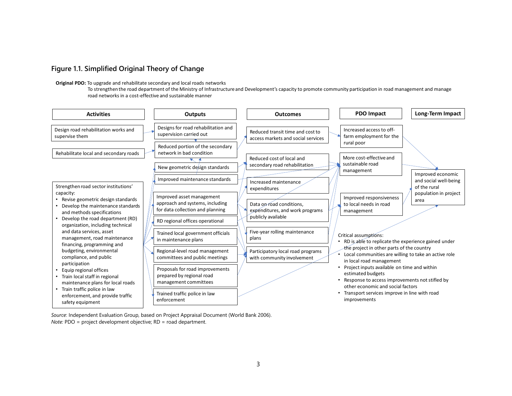### **Figure 1.1. Simplified Original Theory of Change**

#### **Original PDO:** To upgrade and rehabilitate secondary and local roads networks

To strengthen the road department of the Ministry of Infrastructure and Development's capacity to promote community participation in road management and manage road networks in a cost-effective and sustainable manner

<span id="page-14-0"></span>

*Source*: Independent Evaluation Group, based on Project Appraisal Document (World Bank 2006). *Note:* PDO = project development objective; RD = road department.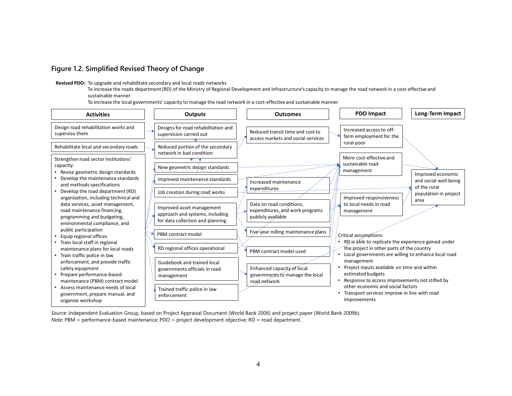### **Figure 1.2. Simplified Revised Theory of Change**

**Revised PDO:** To upgrade and rehabilitate secondary and local roads networks

To increase the roads department (RD) of the Ministry of Regional Development and Infrastructure's capacity to manage the road network in a cost-effective and sustainable manner

To increase the local governments' capacity to manage the road network in a cost-effective and sustainable manner

<span id="page-15-0"></span>

*Source*: Independent Evaluation Group, based on Project Appraisal Document (World Bank 2006) and project paper (World Bank 2009b). *Note:* PBM = performance-based maintenance; PDO = project development objective; RD = road department.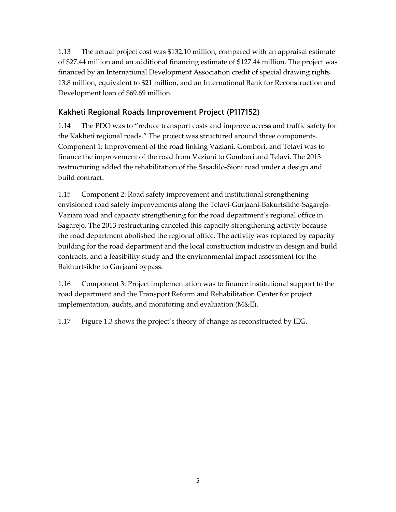1.13 The actual project cost was \$132.10 million, compared with an appraisal estimate of \$27.44 million and an additional financing estimate of \$127.44 million. The project was financed by an International Development Association credit of special drawing rights 13.8 million, equivalent to \$21 million, and an International Bank for Reconstruction and Development loan of \$69.69 million.

## <span id="page-16-0"></span>**Kakheti Regional Roads Improvement Project (P117152)**

1.14 The PDO was to "reduce transport costs and improve access and traffic safety for the Kakheti regional roads." The project was structured around three components. Component 1: Improvement of the road linking Vaziani, Gombori, and Telavi was to finance the improvement of the road from Vaziani to Gombori and Telavi. The 2013 restructuring added the rehabilitation of the Sasadilo-Sioni road under a design and build contract.

1.15 Component 2: Road safety improvement and institutional strengthening envisioned road safety improvements along the Telavi-Gurjaani-Bakurtsikhe-Sagarejo-Vaziani road and capacity strengthening for the road department's regional office in Sagarejo. The 2013 restructuring canceled this capacity strengthening activity because the road department abolished the regional office. The activity was replaced by capacity building for the road department and the local construction industry in design and build contracts, and a feasibility study and the environmental impact assessment for the Bakhurtsikhe to Gurjaani bypass.

1.16 Component 3: Project implementation was to finance institutional support to the road department and the Transport Reform and Rehabilitation Center for project implementation, audits, and monitoring and evaluation (M&E).

1.17 Figure 1.3 shows the project's theory of change as reconstructed by IEG.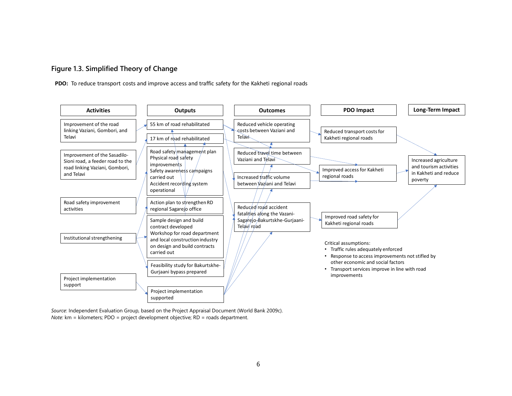### **Figure 1.3. Simplified Theory of Change**

**PDO:** To reduce transport costs and improve access and traffic safety for the Kakheti regional roads

<span id="page-17-0"></span>

*Source*: Independent Evaluation Group, based on the Project Appraisal Document (World Bank 2009c). *Note:* km = kilometers; PDO = project development objective; RD = roads department.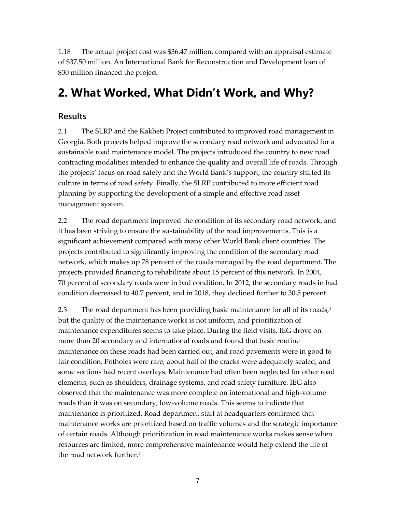1.18 The actual project cost was \$36.47 million, compared with an appraisal estimate of \$37.50 million. An International Bank for Reconstruction and Development loan of \$30 million financed the project.

## <span id="page-18-0"></span>**2. What Worked, What Didn't Work, and Why?**

## <span id="page-18-1"></span>**Results**

2.1 The SLRP and the Kakheti Project contributed to improved road management in Georgia. Both projects helped improve the secondary road network and advocated for a sustainable road maintenance model. The projects introduced the country to new road contracting modalities intended to enhance the quality and overall life of roads. Through the projects' focus on road safety and the World Bank's support, the country shifted its culture in terms of road safety. Finally, the SLRP contributed to more efficient road planning by supporting the development of a simple and effective road asset management system.

2.2 The road department improved the condition of its secondary road network, and it has been striving to ensure the sustainability of the road improvements. This is a significant achievement compared with many other World Bank client countries. The projects contributed to significantly improving the condition of the secondary road network, which makes up 78 percent of the roads managed by the road department. The projects provided financing to rehabilitate about 15 percent of this network. In 2004, 70 percent of secondary roads were in bad condition. In 2012, the secondary roads in bad condition decreased to 40.7 percent, and in 2018, they declined further to 30.5 percent.

2.3 The road department has been providing basic maintenance for all of its roads, $1$ but the quality of the maintenance works is not uniform, and prioritization of maintenance expenditures seems to take place. During the field visits, IEG drove on more than 20 secondary and international roads and found that basic routine maintenance on these roads had been carried out, and road pavements were in good to fair condition. Potholes were rare, about half of the cracks were adequately sealed, and some sections had recent overlays. Maintenance had often been neglected for other road elements, such as shoulders, drainage systems, and road safety furniture. IEG also observed that the maintenance was more complete on international and high-volume roads than it was on secondary, low-volume roads. This seems to indicate that maintenance is prioritized. Road department staff at headquarters confirmed that maintenance works are prioritized based on traffic volumes and the strategic importance of certain roads. Although prioritization in road maintenance works makes sense when resources are limited, more comprehensive maintenance would help extend the life of the road network further.<sup>[2](#page-31-1)</sup>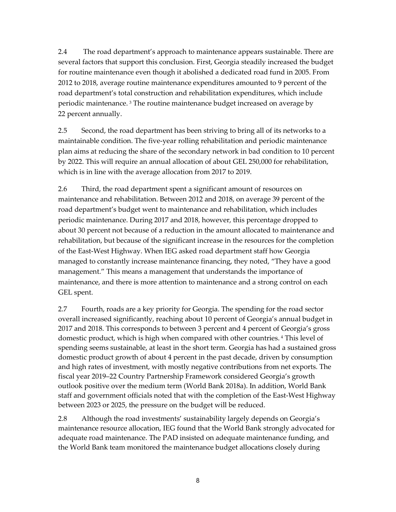2.4 The road department's approach to maintenance appears sustainable. There are several factors that support this conclusion. First, Georgia steadily increased the budget for routine maintenance even though it abolished a dedicated road fund in 2005. From 2012 to 2018, average routine maintenance expenditures amounted to 9 percent of the road department's total construction and rehabilitation expenditures, which include periodic maintenance. [3](#page-31-2) The routine maintenance budget increased on average by 22 percent annually.

2.5 Second, the road department has been striving to bring all of its networks to a maintainable condition. The five-year rolling rehabilitation and periodic maintenance plan aims at reducing the share of the secondary network in bad condition to 10 percent by 2022. This will require an annual allocation of about GEL 250,000 for rehabilitation, which is in line with the average allocation from 2017 to 2019.

2.6 Third, the road department spent a significant amount of resources on maintenance and rehabilitation. Between 2012 and 2018, on average 39 percent of the road department's budget went to maintenance and rehabilitation, which includes periodic maintenance. During 2017 and 2018, however, this percentage dropped to about 30 percent not because of a reduction in the amount allocated to maintenance and rehabilitation, but because of the significant increase in the resources for the completion of the East-West Highway. When IEG asked road department staff how Georgia managed to constantly increase maintenance financing, they noted, "They have a good management." This means a management that understands the importance of maintenance, and there is more attention to maintenance and a strong control on each GEL spent.

2.7 Fourth, roads are a key priority for Georgia. The spending for the road sector overall increased significantly, reaching about 10 percent of Georgia's annual budget in 2017 and 2018. This corresponds to between 3 percent and 4 percent of Georgia's gross domestic product, which is high when compared with other countries. [4](#page-31-3) This level of spending seems sustainable, at least in the short term. Georgia has had a sustained gross domestic product growth of about 4 percent in the past decade, driven by consumption and high rates of investment, with mostly negative contributions from net exports. The fiscal year 2019–22 Country Partnership Framework considered Georgia's growth outlook positive over the medium term (World Bank 2018a). In addition, World Bank staff and government officials noted that with the completion of the East-West Highway between 2023 or 2025, the pressure on the budget will be reduced.

2.8 Although the road investments' sustainability largely depends on Georgia's maintenance resource allocation, IEG found that the World Bank strongly advocated for adequate road maintenance. The PAD insisted on adequate maintenance funding, and the World Bank team monitored the maintenance budget allocations closely during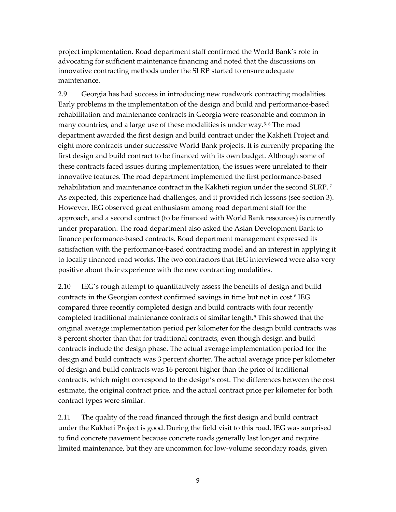project implementation. Road department staff confirmed the World Bank's role in advocating for sufficient maintenance financing and noted that the discussions on innovative contracting methods under the SLRP started to ensure adequate maintenance.

2.9 Georgia has had success in introducing new roadwork contracting modalities. Early problems in the implementation of the design and build and performance-based rehabilitation and maintenance contracts in Georgia were reasonable and common in many countries, and a large use of these modalities is under way.<sup>[5](#page-31-4),[6](#page-31-5)</sup> The road department awarded the first design and build contract under the Kakheti Project and eight more contracts under successive World Bank projects. It is currently preparing the first design and build contract to be financed with its own budget. Although some of these contracts faced issues during implementation, the issues were unrelated to their innovative features. The road department implemented the first performance-based rehabilitation and maintenance contract in the Kakheti region under the second SLRP. [7](#page-32-0) As expected, this experience had challenges, and it provided rich lessons (see section 3). However, IEG observed great enthusiasm among road department staff for the approach, and a second contract (to be financed with World Bank resources) is currently under preparation. The road department also asked the Asian Development Bank to finance performance-based contracts. Road department management expressed its satisfaction with the performance-based contracting model and an interest in applying it to locally financed road works. The two contractors that IEG interviewed were also very positive about their experience with the new contracting modalities.

2.10 IEG's rough attempt to quantitatively assess the benefits of design and build contracts in the Georgian context confirmed savings in time but not in cost.[8](#page-32-1) IEG compared three recently completed design and build contracts with four recently completed traditional maintenance contracts of similar length.[9](#page-32-2) This showed that the original average implementation period per kilometer for the design build contracts was 8 percent shorter than that for traditional contracts, even though design and build contracts include the design phase. The actual average implementation period for the design and build contracts was 3 percent shorter. The actual average price per kilometer of design and build contracts was 16 percent higher than the price of traditional contracts, which might correspond to the design's cost. The differences between the cost estimate, the original contract price, and the actual contract price per kilometer for both contract types were similar.

2.11 The quality of the road financed through the first design and build contract under the Kakheti Project is good.During the field visit to this road, IEG was surprised to find concrete pavement because concrete roads generally last longer and require limited maintenance, but they are uncommon for low-volume secondary roads, given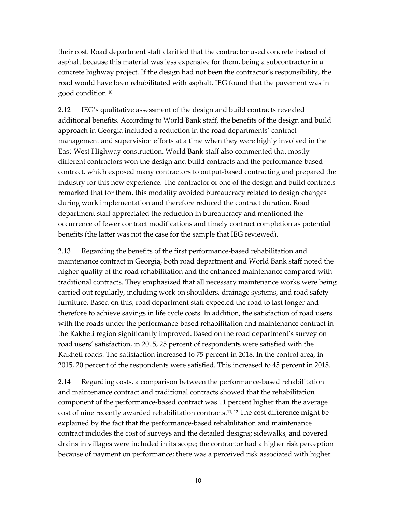their cost. Road department staff clarified that the contractor used concrete instead of asphalt because this material was less expensive for them, being a subcontractor in a concrete highway project. If the design had not been the contractor's responsibility, the road would have been rehabilitated with asphalt. IEG found that the pavement was in good condition.[10](#page-32-3)

2.12 IEG's qualitative assessment of the design and build contracts revealed additional benefits. According to World Bank staff, the benefits of the design and build approach in Georgia included a reduction in the road departments' contract management and supervision efforts at a time when they were highly involved in the East-West Highway construction. World Bank staff also commented that mostly different contractors won the design and build contracts and the performance-based contract, which exposed many contractors to output-based contracting and prepared the industry for this new experience. The contractor of one of the design and build contracts remarked that for them, this modality avoided bureaucracy related to design changes during work implementation and therefore reduced the contract duration. Road department staff appreciated the reduction in bureaucracy and mentioned the occurrence of fewer contract modifications and timely contract completion as potential benefits (the latter was not the case for the sample that IEG reviewed).

2.13 Regarding the benefits of the first performance-based rehabilitation and maintenance contract in Georgia, both road department and World Bank staff noted the higher quality of the road rehabilitation and the enhanced maintenance compared with traditional contracts. They emphasized that all necessary maintenance works were being carried out regularly, including work on shoulders, drainage systems, and road safety furniture. Based on this, road department staff expected the road to last longer and therefore to achieve savings in life cycle costs. In addition, the satisfaction of road users with the roads under the performance-based rehabilitation and maintenance contract in the Kakheti region significantly improved. Based on the road department's survey on road users' satisfaction, in 2015, 25 percent of respondents were satisfied with the Kakheti roads. The satisfaction increased to 75 percent in 2018. In the control area, in 2015, 20 percent of the respondents were satisfied. This increased to 45 percent in 2018.

2.14 Regarding costs, a comparison between the performance-based rehabilitation and maintenance contract and traditional contracts showed that the rehabilitation component of the performance-based contract was 11 percent higher than the average cost of nine recently awarded rehabilitation contracts.<sup>11, [12](#page-32-5)</sup> The cost difference might be explained by the fact that the performance-based rehabilitation and maintenance contract includes the cost of surveys and the detailed designs; sidewalks, and covered drains in villages were included in its scope; the contractor had a higher risk perception because of payment on performance; there was a perceived risk associated with higher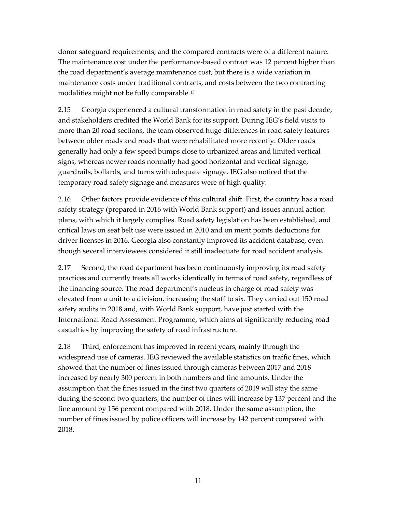donor safeguard requirements; and the compared contracts were of a different nature. The maintenance cost under the performance-based contract was 12 percent higher than the road department's average maintenance cost, but there is a wide variation in maintenance costs under traditional contracts, and costs between the two contracting modalities might not be fully comparable.[13](#page-32-6)

2.15 Georgia experienced a cultural transformation in road safety in the past decade, and stakeholders credited the World Bank for its support. During IEG's field visits to more than 20 road sections, the team observed huge differences in road safety features between older roads and roads that were rehabilitated more recently. Older roads generally had only a few speed bumps close to urbanized areas and limited vertical signs, whereas newer roads normally had good horizontal and vertical signage, guardrails, bollards, and turns with adequate signage. IEG also noticed that the temporary road safety signage and measures were of high quality.

2.16 Other factors provide evidence of this cultural shift. First, the country has a road safety strategy (prepared in 2016 with World Bank support) and issues annual action plans, with which it largely complies. Road safety legislation has been established, and critical laws on seat belt use were issued in 2010 and on merit points deductions for driver licenses in 2016. Georgia also constantly improved its accident database, even though several interviewees considered it still inadequate for road accident analysis.

2.17 Second, the road department has been continuously improving its road safety practices and currently treats all works identically in terms of road safety, regardless of the financing source. The road department's nucleus in charge of road safety was elevated from a unit to a division, increasing the staff to six. They carried out 150 road safety audits in 2018 and, with World Bank support, have just started with the International Road Assessment Programme, which aims at significantly reducing road casualties by improving the safety of road infrastructure.

2.18 Third, enforcement has improved in recent years, mainly through the widespread use of cameras. IEG reviewed the available statistics on traffic fines, which showed that the number of fines issued through cameras between 2017 and 2018 increased by nearly 300 percent in both numbers and fine amounts. Under the assumption that the fines issued in the first two quarters of 2019 will stay the same during the second two quarters, the number of fines will increase by 137 percent and the fine amount by 156 percent compared with 2018. Under the same assumption, the number of fines issued by police officers will increase by 142 percent compared with 2018.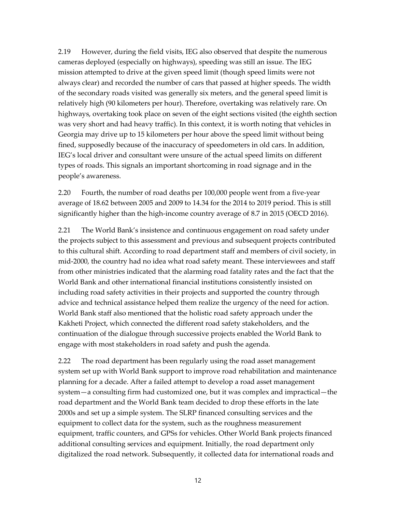2.19 However, during the field visits, IEG also observed that despite the numerous cameras deployed (especially on highways), speeding was still an issue. The IEG mission attempted to drive at the given speed limit (though speed limits were not always clear) and recorded the number of cars that passed at higher speeds. The width of the secondary roads visited was generally six meters, and the general speed limit is relatively high (90 kilometers per hour). Therefore, overtaking was relatively rare. On highways, overtaking took place on seven of the eight sections visited (the eighth section was very short and had heavy traffic). In this context, it is worth noting that vehicles in Georgia may drive up to 15 kilometers per hour above the speed limit without being fined, supposedly because of the inaccuracy of speedometers in old cars. In addition, IEG's local driver and consultant were unsure of the actual speed limits on different types of roads. This signals an important shortcoming in road signage and in the people's awareness.

2.20 Fourth, the number of road deaths per 100,000 people went from a five-year average of 18.62 between 2005 and 2009 to 14.34 for the 2014 to 2019 period. This is still significantly higher than the high-income country average of 8.7 in 2015 (OECD 2016).

2.21 The World Bank's insistence and continuous engagement on road safety under the projects subject to this assessment and previous and subsequent projects contributed to this cultural shift. According to road department staff and members of civil society, in mid-2000, the country had no idea what road safety meant. These interviewees and staff from other ministries indicated that the alarming road fatality rates and the fact that the World Bank and other international financial institutions consistently insisted on including road safety activities in their projects and supported the country through advice and technical assistance helped them realize the urgency of the need for action. World Bank staff also mentioned that the holistic road safety approach under the Kakheti Project, which connected the different road safety stakeholders, and the continuation of the dialogue through successive projects enabled the World Bank to engage with most stakeholders in road safety and push the agenda.

2.22 The road department has been regularly using the road asset management system set up with World Bank support to improve road rehabilitation and maintenance planning for a decade. After a failed attempt to develop a road asset management system—a consulting firm had customized one, but it was complex and impractical—the road department and the World Bank team decided to drop these efforts in the late 2000s and set up a simple system. The SLRP financed consulting services and the equipment to collect data for the system, such as the roughness measurement equipment, traffic counters, and GPSs for vehicles. Other World Bank projects financed additional consulting services and equipment. Initially, the road department only digitalized the road network. Subsequently, it collected data for international roads and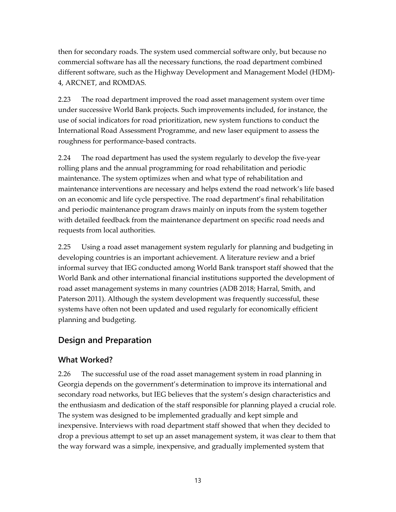then for secondary roads. The system used commercial software only, but because no commercial software has all the necessary functions, the road department combined different software, such as the Highway Development and Management Model (HDM)- 4, ARCNET, and ROMDAS.

2.23 The road department improved the road asset management system over time under successive World Bank projects. Such improvements included, for instance, the use of social indicators for road prioritization, new system functions to conduct the International Road Assessment Programme, and new laser equipment to assess the roughness for performance-based contracts.

2.24 The road department has used the system regularly to develop the five-year rolling plans and the annual programming for road rehabilitation and periodic maintenance. The system optimizes when and what type of rehabilitation and maintenance interventions are necessary and helps extend the road network's life based on an economic and life cycle perspective. The road department's final rehabilitation and periodic maintenance program draws mainly on inputs from the system together with detailed feedback from the maintenance department on specific road needs and requests from local authorities.

2.25 Using a road asset management system regularly for planning and budgeting in developing countries is an important achievement. A literature review and a brief informal survey that IEG conducted among World Bank transport staff showed that the World Bank and other international financial institutions supported the development of road asset management systems in many countries (ADB 2018; Harral, Smith, and Paterson 2011). Although the system development was frequently successful, these systems have often not been updated and used regularly for economically efficient planning and budgeting.

## <span id="page-24-0"></span>**Design and Preparation**

## <span id="page-24-1"></span>**What Worked?**

2.26 The successful use of the road asset management system in road planning in Georgia depends on the government's determination to improve its international and secondary road networks, but IEG believes that the system's design characteristics and the enthusiasm and dedication of the staff responsible for planning played a crucial role. The system was designed to be implemented gradually and kept simple and inexpensive. Interviews with road department staff showed that when they decided to drop a previous attempt to set up an asset management system, it was clear to them that the way forward was a simple, inexpensive, and gradually implemented system that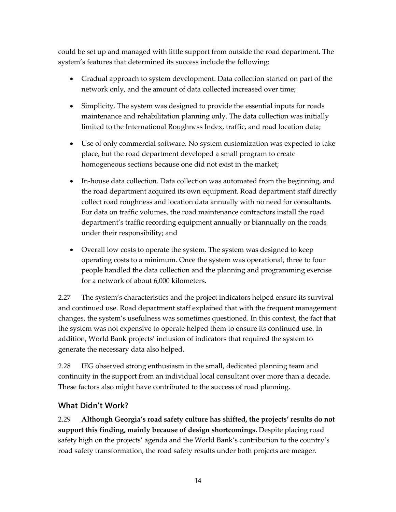could be set up and managed with little support from outside the road department. The system's features that determined its success include the following:

- Gradual approach to system development. Data collection started on part of the network only, and the amount of data collected increased over time;
- Simplicity. The system was designed to provide the essential inputs for roads maintenance and rehabilitation planning only. The data collection was initially limited to the International Roughness Index, traffic, and road location data;
- Use of only commercial software. No system customization was expected to take place, but the road department developed a small program to create homogeneous sections because one did not exist in the market;
- In-house data collection. Data collection was automated from the beginning, and the road department acquired its own equipment. Road department staff directly collect road roughness and location data annually with no need for consultants. For data on traffic volumes, the road maintenance contractors install the road department's traffic recording equipment annually or biannually on the roads under their responsibility; and
- Overall low costs to operate the system. The system was designed to keep operating costs to a minimum. Once the system was operational, three to four people handled the data collection and the planning and programming exercise for a network of about 6,000 kilometers.

2.27 The system's characteristics and the project indicators helped ensure its survival and continued use. Road department staff explained that with the frequent management changes, the system's usefulness was sometimes questioned. In this context, the fact that the system was not expensive to operate helped them to ensure its continued use. In addition, World Bank projects' inclusion of indicators that required the system to generate the necessary data also helped.

2.28 IEG observed strong enthusiasm in the small, dedicated planning team and continuity in the support from an individual local consultant over more than a decade. These factors also might have contributed to the success of road planning.

## <span id="page-25-0"></span>**What Didn't Work?**

2.29 **Although Georgia's road safety culture has shifted, the projects' results do not support this finding, mainly because of design shortcomings.** Despite placing road safety high on the projects' agenda and the World Bank's contribution to the country's road safety transformation, the road safety results under both projects are meager.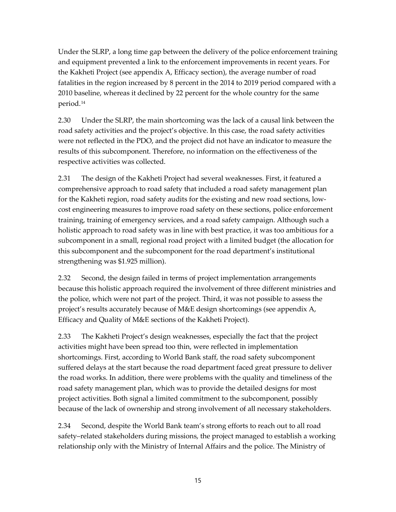Under the SLRP, a long time gap between the delivery of the police enforcement training and equipment prevented a link to the enforcement improvements in recent years. For the Kakheti Project (see appendix A, Efficacy section), the average number of road fatalities in the region increased by 8 percent in the 2014 to 2019 period compared with a 2010 baseline, whereas it declined by 22 percent for the whole country for the same period.[14](#page-32-7)

2.30 Under the SLRP, the main shortcoming was the lack of a causal link between the road safety activities and the project's objective. In this case, the road safety activities were not reflected in the PDO, and the project did not have an indicator to measure the results of this subcomponent. Therefore, no information on the effectiveness of the respective activities was collected.

2.31 The design of the Kakheti Project had several weaknesses. First, it featured a comprehensive approach to road safety that included a road safety management plan for the Kakheti region, road safety audits for the existing and new road sections, lowcost engineering measures to improve road safety on these sections, police enforcement training, training of emergency services, and a road safety campaign. Although such a holistic approach to road safety was in line with best practice, it was too ambitious for a subcomponent in a small, regional road project with a limited budget (the allocation for this subcomponent and the subcomponent for the road department's institutional strengthening was \$1.925 million).

2.32 Second, the design failed in terms of project implementation arrangements because this holistic approach required the involvement of three different ministries and the police, which were not part of the project. Third, it was not possible to assess the project's results accurately because of M&E design shortcomings (see appendix A, Efficacy and Quality of M&E sections of the Kakheti Project).

2.33 The Kakheti Project's design weaknesses, especially the fact that the project activities might have been spread too thin, were reflected in implementation shortcomings. First, according to World Bank staff, the road safety subcomponent suffered delays at the start because the road department faced great pressure to deliver the road works. In addition, there were problems with the quality and timeliness of the road safety management plan, which was to provide the detailed designs for most project activities. Both signal a limited commitment to the subcomponent, possibly because of the lack of ownership and strong involvement of all necessary stakeholders.

2.34 Second, despite the World Bank team's strong efforts to reach out to all road safety–related stakeholders during missions, the project managed to establish a working relationship only with the Ministry of Internal Affairs and the police. The Ministry of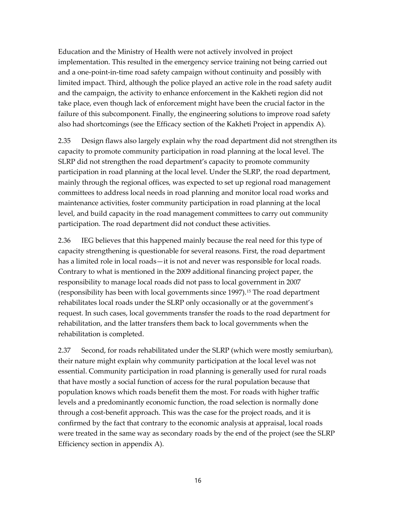Education and the Ministry of Health were not actively involved in project implementation. This resulted in the emergency service training not being carried out and a one-point-in-time road safety campaign without continuity and possibly with limited impact. Third, although the police played an active role in the road safety audit and the campaign, the activity to enhance enforcement in the Kakheti region did not take place, even though lack of enforcement might have been the crucial factor in the failure of this subcomponent. Finally, the engineering solutions to improve road safety also had shortcomings (see the Efficacy section of the Kakheti Project in appendix A).

2.35 Design flaws also largely explain why the road department did not strengthen its capacity to promote community participation in road planning at the local level. The SLRP did not strengthen the road department's capacity to promote community participation in road planning at the local level. Under the SLRP, the road department, mainly through the regional offices, was expected to set up regional road management committees to address local needs in road planning and monitor local road works and maintenance activities, foster community participation in road planning at the local level, and build capacity in the road management committees to carry out community participation. The road department did not conduct these activities.

2.36 IEG believes that this happened mainly because the real need for this type of capacity strengthening is questionable for several reasons. First, the road department has a limited role in local roads—it is not and never was responsible for local roads. Contrary to what is mentioned in the 2009 additional financing project paper, the responsibility to manage local roads did not pass to local government in 2007 (responsibility has been with local governments since 1997).[15](#page-32-8) The road department rehabilitates local roads under the SLRP only occasionally or at the government's request. In such cases, local governments transfer the roads to the road department for rehabilitation, and the latter transfers them back to local governments when the rehabilitation is completed.

2.37 Second, for roads rehabilitated under the SLRP (which were mostly semiurban), their nature might explain why community participation at the local level was not essential. Community participation in road planning is generally used for rural roads that have mostly a social function of access for the rural population because that population knows which roads benefit them the most. For roads with higher traffic levels and a predominantly economic function, the road selection is normally done through a cost-benefit approach. This was the case for the project roads, and it is confirmed by the fact that contrary to the economic analysis at appraisal, local roads were treated in the same way as secondary roads by the end of the project (see the SLRP Efficiency section in appendix A).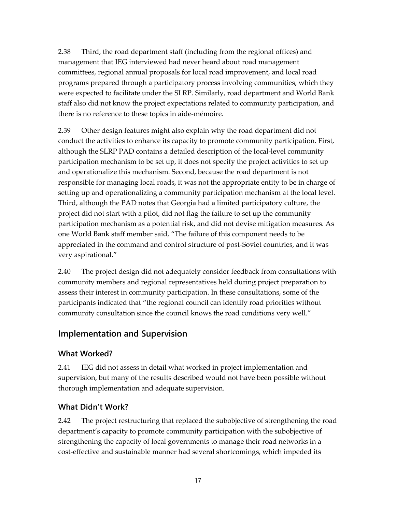2.38 Third, the road department staff (including from the regional offices) and management that IEG interviewed had never heard about road management committees, regional annual proposals for local road improvement, and local road programs prepared through a participatory process involving communities, which they were expected to facilitate under the SLRP. Similarly, road department and World Bank staff also did not know the project expectations related to community participation, and there is no reference to these topics in aide-mémoire.

2.39 Other design features might also explain why the road department did not conduct the activities to enhance its capacity to promote community participation. First, although the SLRP PAD contains a detailed description of the local-level community participation mechanism to be set up, it does not specify the project activities to set up and operationalize this mechanism. Second, because the road department is not responsible for managing local roads, it was not the appropriate entity to be in charge of setting up and operationalizing a community participation mechanism at the local level. Third, although the PAD notes that Georgia had a limited participatory culture, the project did not start with a pilot, did not flag the failure to set up the community participation mechanism as a potential risk, and did not devise mitigation measures. As one World Bank staff member said, "The failure of this component needs to be appreciated in the command and control structure of post-Soviet countries, and it was very aspirational."

2.40 The project design did not adequately consider feedback from consultations with community members and regional representatives held during project preparation to assess their interest in community participation. In these consultations, some of the participants indicated that "the regional council can identify road priorities without community consultation since the council knows the road conditions very well."

## <span id="page-28-0"></span>**Implementation and Supervision**

### <span id="page-28-1"></span>**What Worked?**

2.41 IEG did not assess in detail what worked in project implementation and supervision, but many of the results described would not have been possible without thorough implementation and adequate supervision.

## <span id="page-28-2"></span>**What Didn't Work?**

2.42 The project restructuring that replaced the subobjective of strengthening the road department's capacity to promote community participation with the subobjective of strengthening the capacity of local governments to manage their road networks in a cost-effective and sustainable manner had several shortcomings, which impeded its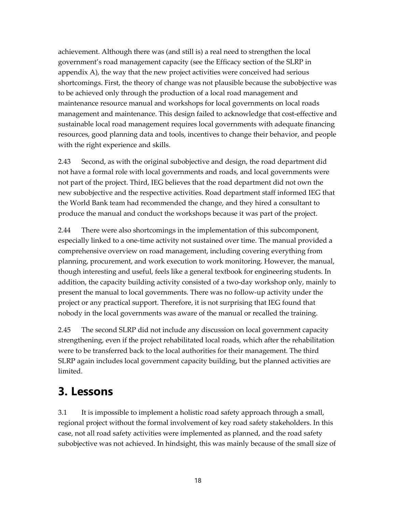achievement. Although there was (and still is) a real need to strengthen the local government's road management capacity (see the Efficacy section of the SLRP in appendix A), the way that the new project activities were conceived had serious shortcomings. First, the theory of change was not plausible because the subobjective was to be achieved only through the production of a local road management and maintenance resource manual and workshops for local governments on local roads management and maintenance. This design failed to acknowledge that cost-effective and sustainable local road management requires local governments with adequate financing resources, good planning data and tools, incentives to change their behavior, and people with the right experience and skills.

2.43 Second, as with the original subobjective and design, the road department did not have a formal role with local governments and roads, and local governments were not part of the project. Third, IEG believes that the road department did not own the new subobjective and the respective activities. Road department staff informed IEG that the World Bank team had recommended the change, and they hired a consultant to produce the manual and conduct the workshops because it was part of the project.

2.44 There were also shortcomings in the implementation of this subcomponent, especially linked to a one-time activity not sustained over time. The manual provided a comprehensive overview on road management, including covering everything from planning, procurement, and work execution to work monitoring. However, the manual, though interesting and useful, feels like a general textbook for engineering students. In addition, the capacity building activity consisted of a two-day workshop only, mainly to present the manual to local governments. There was no follow-up activity under the project or any practical support. Therefore, it is not surprising that IEG found that nobody in the local governments was aware of the manual or recalled the training.

2.45 The second SLRP did not include any discussion on local government capacity strengthening, even if the project rehabilitated local roads, which after the rehabilitation were to be transferred back to the local authorities for their management. The third SLRP again includes local government capacity building, but the planned activities are limited.

## <span id="page-29-0"></span>**3. Lessons**

3.1 It is impossible to implement a holistic road safety approach through a small, regional project without the formal involvement of key road safety stakeholders. In this case, not all road safety activities were implemented as planned, and the road safety subobjective was not achieved. In hindsight, this was mainly because of the small size of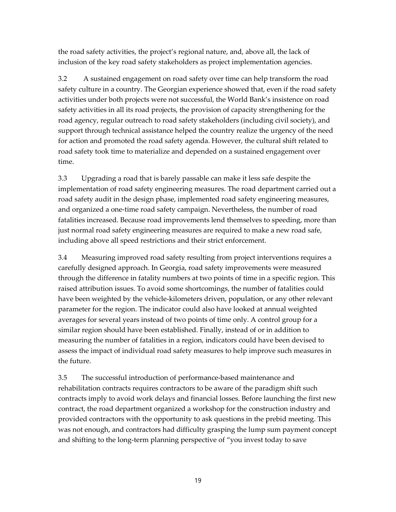the road safety activities, the project's regional nature, and, above all, the lack of inclusion of the key road safety stakeholders as project implementation agencies.

3.2 A sustained engagement on road safety over time can help transform the road safety culture in a country. The Georgian experience showed that, even if the road safety activities under both projects were not successful, the World Bank's insistence on road safety activities in all its road projects, the provision of capacity strengthening for the road agency, regular outreach to road safety stakeholders (including civil society), and support through technical assistance helped the country realize the urgency of the need for action and promoted the road safety agenda. However, the cultural shift related to road safety took time to materialize and depended on a sustained engagement over time.

3.3 Upgrading a road that is barely passable can make it less safe despite the implementation of road safety engineering measures. The road department carried out a road safety audit in the design phase, implemented road safety engineering measures, and organized a one-time road safety campaign. Nevertheless, the number of road fatalities increased. Because road improvements lend themselves to speeding, more than just normal road safety engineering measures are required to make a new road safe, including above all speed restrictions and their strict enforcement.

3.4 Measuring improved road safety resulting from project interventions requires a carefully designed approach. In Georgia, road safety improvements were measured through the difference in fatality numbers at two points of time in a specific region. This raised attribution issues. To avoid some shortcomings, the number of fatalities could have been weighted by the vehicle-kilometers driven, population, or any other relevant parameter for the region. The indicator could also have looked at annual weighted averages for several years instead of two points of time only. A control group for a similar region should have been established. Finally, instead of or in addition to measuring the number of fatalities in a region, indicators could have been devised to assess the impact of individual road safety measures to help improve such measures in the future.

3.5 The successful introduction of performance-based maintenance and rehabilitation contracts requires contractors to be aware of the paradigm shift such contracts imply to avoid work delays and financial losses. Before launching the first new contract, the road department organized a workshop for the construction industry and provided contractors with the opportunity to ask questions in the prebid meeting. This was not enough, and contractors had difficulty grasping the lump sum payment concept and shifting to the long-term planning perspective of "you invest today to save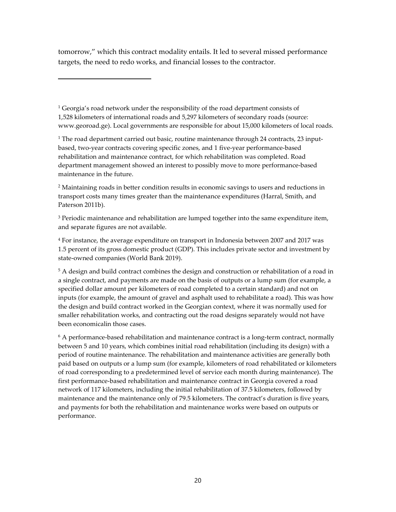tomorrow," which this contract modality entails. It led to several missed performance targets, the need to redo works, and financial losses to the contractor.

<sup>1</sup> Georgia's road network under the responsibility of the road department consists of 1,528 kilometers of international roads and 5,297 kilometers of secondary roads (source: [www.georoad.ge\)](http://www.georoad.ge/). Local governments are responsible for about 15,000 kilometers of local roads.

<span id="page-31-0"></span><sup>1</sup> The road department carried out basic, routine maintenance through 24 contracts, 23 inputbased, two-year contracts covering specific zones, and 1 five-year performance-based rehabilitation and maintenance contract, for which rehabilitation was completed. Road department management showed an interest to possibly move to more performance-based maintenance in the future.

<span id="page-31-1"></span><sup>2</sup> Maintaining roads in better condition results in economic savings to users and reductions in transport costs many times greater than the maintenance expenditures (Harral, Smith, and Paterson 2011b).

<span id="page-31-2"></span> $3$  Periodic maintenance and rehabilitation are lumped together into the same expenditure item, and separate figures are not available.

<span id="page-31-3"></span><sup>4</sup> For instance, the average expenditure on transport in Indonesia between 2007 and 2017 was 1.5 percent of its gross domestic product (GDP). This includes private sector and investment by state-owned companies (World Bank 2019).

<span id="page-31-4"></span><sup>5</sup> A design and build contract combines the design and construction or rehabilitation of a road in a single contract, and payments are made on the basis of outputs or a lump sum (for example, a specified dollar amount per kilometers of road completed to a certain standard) and not on inputs (for example, the amount of gravel and asphalt used to rehabilitate a road). This was how the design and build contract worked in the Georgian context, where it was normally used for smaller rehabilitation works, and contracting out the road designs separately would not have been economicalin those cases.

<span id="page-31-5"></span> $6$  A performance-based rehabilitation and maintenance contract is a long-term contract, normally between 5 and 10 years, which combines initial road rehabilitation (including its design) with a period of routine maintenance. The rehabilitation and maintenance activities are generally both paid based on outputs or a lump sum (for example, kilometers of road rehabilitated or kilometers of road corresponding to a predetermined level of service each month during maintenance). The first performance-based rehabilitation and maintenance contract in Georgia covered a road network of 117 kilometers, including the initial rehabilitation of 37.5 kilometers, followed by maintenance and the maintenance only of 79.5 kilometers. The contract's duration is five years, and payments for both the rehabilitation and maintenance works were based on outputs or performance.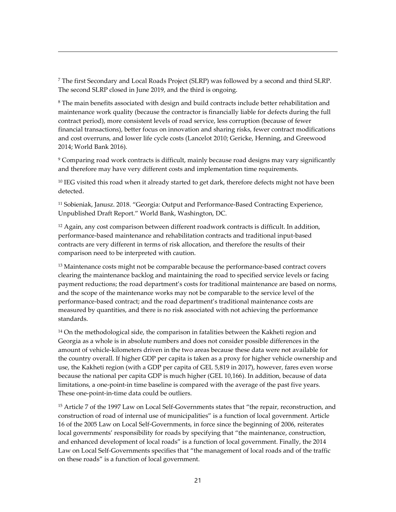<span id="page-32-0"></span><sup>7</sup> The first Secondary and Local Roads Project (SLRP) was followed by a second and third SLRP. The second SLRP closed in June 2019, and the third is ongoing.

<span id="page-32-1"></span> $8$  The main benefits associated with design and build contracts include better rehabilitation and maintenance work quality (because the contractor is financially liable for defects during the full contract period), more consistent levels of road service, less corruption (because of fewer financial transactions), better focus on innovation and sharing risks, fewer contract modifications and cost overruns, and lower life cycle costs (Lancelot 2010; Gericke, Henning, and Greewood 2014; World Bank 2016).

<span id="page-32-2"></span><sup>9</sup> Comparing road work contracts is difficult, mainly because road designs may vary significantly and therefore may have very different costs and implementation time requirements.

<span id="page-32-3"></span> $10$  IEG visited this road when it already started to get dark, therefore defects might not have been detected.

<span id="page-32-4"></span><sup>11</sup> Sobieniak, Janusz. 2018. "Georgia: Output and Performance-Based Contracting Experience, Unpublished Draft Report." World Bank, Washington, DC.

<span id="page-32-5"></span> $12$  Again, any cost comparison between different roadwork contracts is difficult. In addition, performance-based maintenance and rehabilitation contracts and traditional input-based contracts are very different in terms of risk allocation, and therefore the results of their comparison need to be interpreted with caution.

<span id="page-32-6"></span><sup>13</sup> Maintenance costs might not be comparable because the performance-based contract covers clearing the maintenance backlog and maintaining the road to specified service levels or facing payment reductions; the road department's costs for traditional maintenance are based on norms, and the scope of the maintenance works may not be comparable to the service level of the performance-based contract; and the road department's traditional maintenance costs are measured by quantities, and there is no risk associated with not achieving the performance standards.

<span id="page-32-7"></span> $14$  On the methodological side, the comparison in fatalities between the Kakheti region and Georgia as a whole is in absolute numbers and does not consider possible differences in the amount of vehicle-kilometers driven in the two areas because these data were not available for the country overall. If higher GDP per capita is taken as a proxy for higher vehicle ownership and use, the Kakheti region (with a GDP per capita of GEL 5,819 in 2017), however, fares even worse because the national per capita GDP is much higher (GEL 10,166). In addition, because of data limitations, a one-point-in time baseline is compared with the average of the past five years. These one-point-in-time data could be outliers.

<span id="page-32-8"></span><sup>15</sup> Article 7 of the 1997 Law on Local Self-Governments states that "the repair, reconstruction, and construction of road of internal use of municipalities" is a function of local government. Article 16 of the 2005 Law on Local Self-Governments, in force since the beginning of 2006, reiterates local governments' responsibility for roads by specifying that "the maintenance, construction, and enhanced development of local roads" is a function of local government. Finally, the 2014 Law on Local Self-Governments specifies that "the management of local roads and of the traffic on these roads" is a function of local government.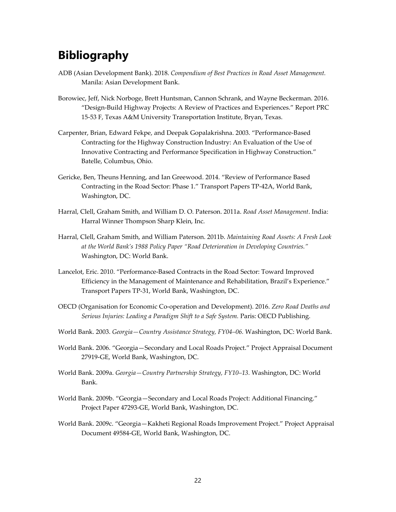## <span id="page-33-0"></span>**Bibliography**

- ADB (Asian Development Bank). 2018. *Compendium of Best Practices in Road Asset Management.* Manila: Asian Development Bank.
- Borowiec, Jeff, Nick Norboge, Brett Huntsman, Cannon Schrank, and Wayne Beckerman. 2016. "Design-Build Highway Projects: A Review of Practices and Experiences." Report PRC 15-53 F, Texas A&M University Transportation Institute, Bryan, Texas.
- Carpenter, Brian, Edward Fekpe, and Deepak Gopalakrishna. 2003. "Performance-Based Contracting for the Highway Construction Industry: An Evaluation of the Use of Innovative Contracting and Performance Specification in Highway Construction." Batelle, Columbus, Ohio.
- Gericke, Ben, Theuns Henning, and Ian Greewood. 2014. "Review of Performance Based Contracting in the Road Sector: Phase 1." Transport Papers TP-42A, World Bank, Washington, DC.
- Harral, Clell, Graham Smith, and William D. O. Paterson. 2011a. *Road Asset Management*. India: Harral Winner Thompson Sharp Klein, Inc.
- Harral, Clell, Graham Smith, and William Paterson. 2011b. *Maintaining Road Assets: A Fresh Look at the World Bank's 1988 Policy Paper "Road Deterioration in Developing Countries."* Washington, DC: World Bank.
- Lancelot, Eric. 2010. "Performance-Based Contracts in the Road Sector: Toward Improved Efficiency in the Management of Maintenance and Rehabilitation, Brazil's Experience." Transport Papers TP-31, World Bank, Washington, DC.
- OECD (Organisation for Economic Co-operation and Development). 2016. *Zero Road Deaths and Serious Injuries: Leading a Paradigm Shift to a Safe System.* Paris: OECD Publishing.
- World Bank. 2003. *Georgia—Country Assistance Strategy, FY04–06.* Washington, DC: World Bank.
- World Bank. 2006. "Georgia—Secondary and Local Roads Project." Project Appraisal Document 27919-GE, World Bank, Washington, DC.
- World Bank. 2009a. *Georgia—Country Partnership Strategy, FY10–13.* Washington, DC: World Bank.
- World Bank. 2009b. "Georgia—Secondary and Local Roads Project: Additional Financing." Project Paper 47293-GE, World Bank, Washington, DC.
- World Bank. 2009c. "Georgia—Kakheti Regional Roads Improvement Project." Project Appraisal Document 49584-GE, World Bank, Washington, DC.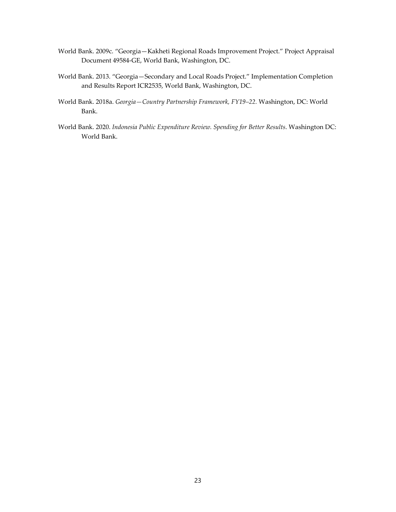- World Bank. 2009c. "Georgia—Kakheti Regional Roads Improvement Project." Project Appraisal Document 49584-GE, World Bank, Washington, DC.
- World Bank. 2013. "Georgia—Secondary and Local Roads Project." Implementation Completion and Results Report ICR2535, World Bank, Washington, DC.
- World Bank. 2018a. *Georgia—Country Partnership Framework, FY19–22.* Washington, DC: World Bank.
- World Bank. 2020. *Indonesia Public Expenditure Review. Spending for Better Results*. Washington DC: World Bank.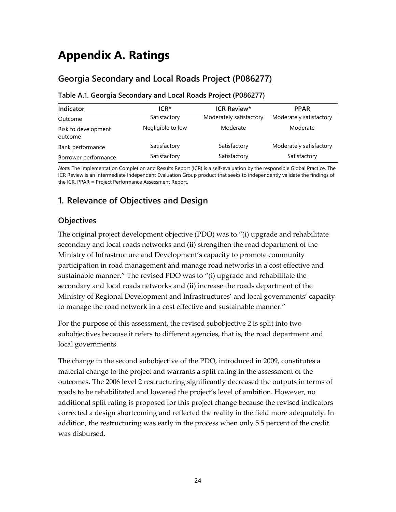## <span id="page-35-0"></span>**Appendix A. Ratings**

## **Georgia Secondary and Local Roads Project (P086277)**

| Indicator                      | ICR*              | <b>ICR Review*</b>      | <b>PPAR</b>             |
|--------------------------------|-------------------|-------------------------|-------------------------|
| Outcome                        | Satisfactory      | Moderately satisfactory | Moderately satisfactory |
| Risk to development<br>outcome | Negligible to low | Moderate                | Moderate                |
| Bank performance               | Satisfactory      | Satisfactory            | Moderately satisfactory |
| Borrower performance           | Satisfactory      | Satisfactory            | Satisfactory            |

### **Table A.1. Georgia Secondary and Local Roads Project (P086277)**

*Note:* The Implementation Completion and Results Report (ICR) is a self-evaluation by the responsible Global Practice. The ICR Review is an intermediate Independent Evaluation Group product that seeks to independently validate the findings of the ICR. PPAR = Project Performance Assessment Report.

## **1. Relevance of Objectives and Design**

### **Objectives**

The original project development objective (PDO) was to "(i) upgrade and rehabilitate secondary and local roads networks and (ii) strengthen the road department of the Ministry of Infrastructure and Development's capacity to promote community participation in road management and manage road networks in a cost effective and sustainable manner." The revised PDO was to "(i) upgrade and rehabilitate the secondary and local roads networks and (ii) increase the roads department of the Ministry of Regional Development and Infrastructures' and local governments' capacity to manage the road network in a cost effective and sustainable manner."

For the purpose of this assessment, the revised subobjective 2 is split into two subobjectives because it refers to different agencies, that is, the road department and local governments.

The change in the second subobjective of the PDO, introduced in 2009, constitutes a material change to the project and warrants a split rating in the assessment of the outcomes. The 2006 level 2 restructuring significantly decreased the outputs in terms of roads to be rehabilitated and lowered the project's level of ambition. However, no additional split rating is proposed for this project change because the revised indicators corrected a design shortcoming and reflected the reality in the field more adequately. In addition, the restructuring was early in the process when only 5.5 percent of the credit was disbursed.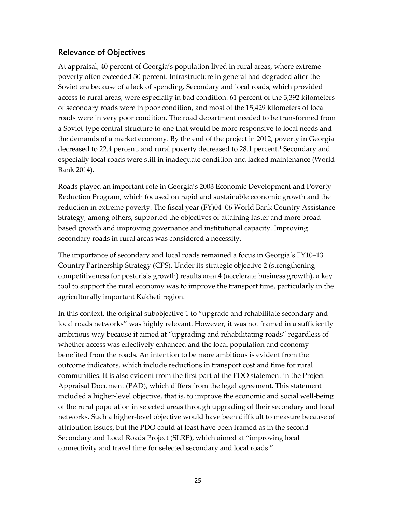#### **Relevance of Objectives**

At appraisal, 40 percent of Georgia's population lived in rural areas, where extreme poverty often exceeded 30 percent. Infrastructure in general had degraded after the Soviet era because of a lack of spending. Secondary and local roads, which provided access to rural areas, were especially in bad condition: 61 percent of the 3,392 kilometers of secondary roads were in poor condition, and most of the 15,429 kilometers of local roads were in very poor condition. The road department needed to be transformed from a Soviet-type central structure to one that would be more responsive to local needs and the demands of a market economy. By the end of the project in 2012, poverty in Georgia decreased to 22.4 percent, and rural poverty decreased to 28.[1](#page-64-0) percent.<sup>1</sup> Secondary and especially local roads were still in inadequate condition and lacked maintenance (World Bank 2014).

Roads played an important role in Georgia's 2003 Economic Development and Poverty Reduction Program, which focused on rapid and sustainable economic growth and the reduction in extreme poverty. The fiscal year (FY)04–06 World Bank Country Assistance Strategy, among others, supported the objectives of attaining faster and more broadbased growth and improving governance and institutional capacity. Improving secondary roads in rural areas was considered a necessity.

The importance of secondary and local roads remained a focus in Georgia's FY10–13 Country Partnership Strategy (CPS). Under its strategic objective 2 (strengthening competitiveness for postcrisis growth) results area 4 (accelerate business growth), a key tool to support the rural economy was to improve the transport time, particularly in the agriculturally important Kakheti region.

In this context, the original subobjective 1 to "upgrade and rehabilitate secondary and local roads networks" was highly relevant. However, it was not framed in a sufficiently ambitious way because it aimed at "upgrading and rehabilitating roads" regardless of whether access was effectively enhanced and the local population and economy benefited from the roads. An intention to be more ambitious is evident from the outcome indicators, which include reductions in transport cost and time for rural communities. It is also evident from the first part of the PDO statement in the Project Appraisal Document (PAD), which differs from the legal agreement. This statement included a higher-level objective, that is, to improve the economic and social well-being of the rural population in selected areas through upgrading of their secondary and local networks. Such a higher-level objective would have been difficult to measure because of attribution issues, but the PDO could at least have been framed as in the second Secondary and Local Roads Project (SLRP), which aimed at "improving local connectivity and travel time for selected secondary and local roads."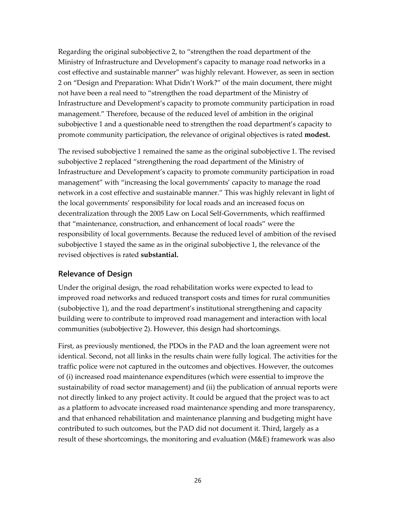Regarding the original subobjective 2, to "strengthen the road department of the Ministry of Infrastructure and Development's capacity to manage road networks in a cost effective and sustainable manner" was highly relevant. However, as seen in section 2 on "Design and Preparation: What Didn't Work?" of the main document, there might not have been a real need to "strengthen the road department of the Ministry of Infrastructure and Development's capacity to promote community participation in road management." Therefore, because of the reduced level of ambition in the original subobjective 1 and a questionable need to strengthen the road department's capacity to promote community participation, the relevance of original objectives is rated **modest.**

The revised subobjective 1 remained the same as the original subobjective 1. The revised subobjective 2 replaced "strengthening the road department of the Ministry of Infrastructure and Development's capacity to promote community participation in road management" with "increasing the local governments' capacity to manage the road network in a cost effective and sustainable manner." This was highly relevant in light of the local governments' responsibility for local roads and an increased focus on decentralization through the 2005 Law on Local Self-Governments, which reaffirmed that "maintenance, construction, and enhancement of local roads" were the responsibility of local governments. Because the reduced level of ambition of the revised subobjective 1 stayed the same as in the original subobjective 1, the relevance of the revised objectives is rated **substantial.**

#### **Relevance of Design**

Under the original design, the road rehabilitation works were expected to lead to improved road networks and reduced transport costs and times for rural communities (subobjective 1), and the road department's institutional strengthening and capacity building were to contribute to improved road management and interaction with local communities (subobjective 2). However, this design had shortcomings.

First, as previously mentioned, the PDOs in the PAD and the loan agreement were not identical. Second, not all links in the results chain were fully logical. The activities for the traffic police were not captured in the outcomes and objectives. However, the outcomes of (i) increased road maintenance expenditures (which were essential to improve the sustainability of road sector management) and (ii) the publication of annual reports were not directly linked to any project activity. It could be argued that the project was to act as a platform to advocate increased road maintenance spending and more transparency, and that enhanced rehabilitation and maintenance planning and budgeting might have contributed to such outcomes, but the PAD did not document it. Third, largely as a result of these shortcomings, the monitoring and evaluation (M&E) framework was also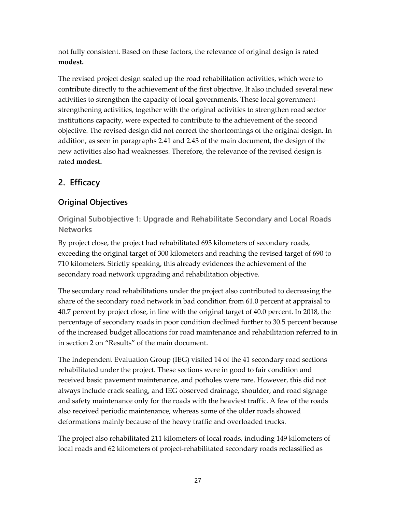not fully consistent. Based on these factors, the relevance of original design is rated **modest.**

The revised project design scaled up the road rehabilitation activities, which were to contribute directly to the achievement of the first objective. It also included several new activities to strengthen the capacity of local governments. These local government– strengthening activities, together with the original activities to strengthen road sector institutions capacity, were expected to contribute to the achievement of the second objective. The revised design did not correct the shortcomings of the original design. In addition, as seen in paragraphs [2.41](#page-28-0) and [2.43](#page-29-0) of the main document, the design of the new activities also had weaknesses. Therefore, the relevance of the revised design is rated **modest.**

# **2. Efficacy**

## **Original Objectives**

**Original Subobjective 1: Upgrade and Rehabilitate Secondary and Local Roads Networks**

By project close, the project had rehabilitated 693 kilometers of secondary roads, exceeding the original target of 300 kilometers and reaching the revised target of 690 to 710 kilometers. Strictly speaking, this already evidences the achievement of the secondary road network upgrading and rehabilitation objective.

The secondary road rehabilitations under the project also contributed to decreasing the share of the secondary road network in bad condition from 61.0 percent at appraisal to 40.7 percent by project close, in line with the original target of 40.0 percent. In 2018, the percentage of secondary roads in poor condition declined further to 30.5 percent because of the increased budget allocations for road maintenance and rehabilitation referred to in in section 2 on "Results" of the main document.

The Independent Evaluation Group (IEG) visited 14 of the 41 secondary road sections rehabilitated under the project. These sections were in good to fair condition and received basic pavement maintenance, and potholes were rare. However, this did not always include crack sealing, and IEG observed drainage, shoulder, and road signage and safety maintenance only for the roads with the heaviest traffic. A few of the roads also received periodic maintenance, whereas some of the older roads showed deformations mainly because of the heavy traffic and overloaded trucks.

The project also rehabilitated 211 kilometers of local roads, including 149 kilometers of local roads and 62 kilometers of project-rehabilitated secondary roads reclassified as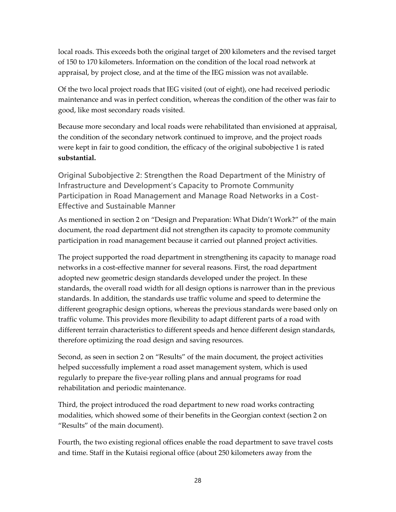local roads. This exceeds both the original target of 200 kilometers and the revised target of 150 to 170 kilometers. Information on the condition of the local road network at appraisal, by project close, and at the time of the IEG mission was not available.

Of the two local project roads that IEG visited (out of eight), one had received periodic maintenance and was in perfect condition, whereas the condition of the other was fair to good, like most secondary roads visited.

Because more secondary and local roads were rehabilitated than envisioned at appraisal, the condition of the secondary network continued to improve, and the project roads were kept in fair to good condition, the efficacy of the original subobjective 1 is rated **substantial.**

**Original Subobjective 2: Strengthen the Road Department of the Ministry of Infrastructure and Development's Capacity to Promote Community Participation in Road Management and Manage Road Networks in a Cost-Effective and Sustainable Manner**

As mentioned in section 2 on "Design and Preparation: What Didn't Work?" of the main document, the road department did not strengthen its capacity to promote community participation in road management because it carried out planned project activities.

The project supported the road department in strengthening its capacity to manage road networks in a cost-effective manner for several reasons. First, the road department adopted new geometric design standards developed under the project. In these standards, the overall road width for all design options is narrower than in the previous standards. In addition, the standards use traffic volume and speed to determine the different geographic design options, whereas the previous standards were based only on traffic volume. This provides more flexibility to adapt different parts of a road with different terrain characteristics to different speeds and hence different design standards, therefore optimizing the road design and saving resources.

Second, as seen in section 2 on "Results" of the main document, the project activities helped successfully implement a road asset management system, which is used regularly to prepare the five-year rolling plans and annual programs for road rehabilitation and periodic maintenance.

Third, the project introduced the road department to new road works contracting modalities, which showed some of their benefits in the Georgian context (section 2 on "Results" of the main document).

Fourth, the two existing regional offices enable the road department to save travel costs and time. Staff in the Kutaisi regional office (about 250 kilometers away from the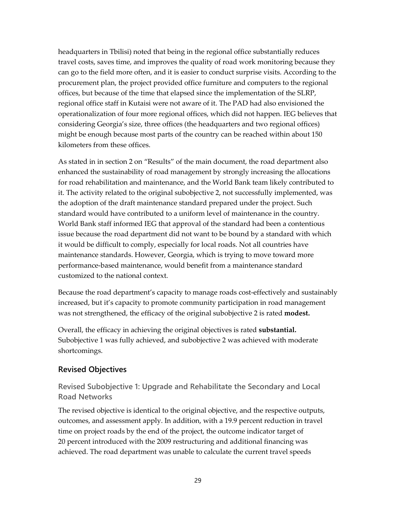headquarters in Tbilisi) noted that being in the regional office substantially reduces travel costs, saves time, and improves the quality of road work monitoring because they can go to the field more often, and it is easier to conduct surprise visits. According to the procurement plan, the project provided office furniture and computers to the regional offices, but because of the time that elapsed since the implementation of the SLRP, regional office staff in Kutaisi were not aware of it. The PAD had also envisioned the operationalization of four more regional offices, which did not happen. IEG believes that considering Georgia's size, three offices (the headquarters and two regional offices) might be enough because most parts of the country can be reached within about 150 kilometers from these offices.

As stated in in section 2 on "Results" of the main document, the road department also enhanced the sustainability of road management by strongly increasing the allocations for road rehabilitation and maintenance, and the World Bank team likely contributed to it. The activity related to the original subobjective 2, not successfully implemented, was the adoption of the draft maintenance standard prepared under the project. Such standard would have contributed to a uniform level of maintenance in the country. World Bank staff informed IEG that approval of the standard had been a contentious issue because the road department did not want to be bound by a standard with which it would be difficult to comply, especially for local roads. Not all countries have maintenance standards. However, Georgia, which is trying to move toward more performance-based maintenance, would benefit from a maintenance standard customized to the national context.

Because the road department's capacity to manage roads cost-effectively and sustainably increased, but it's capacity to promote community participation in road management was not strengthened, the efficacy of the original subobjective 2 is rated **modest.**

Overall, the efficacy in achieving the original objectives is rated **substantial.**  Subobjective 1 was fully achieved, and subobjective 2 was achieved with moderate shortcomings.

## **Revised Objectives**

**Revised Subobjective 1: Upgrade and Rehabilitate the Secondary and Local Road Networks**

The revised objective is identical to the original objective, and the respective outputs, outcomes, and assessment apply. In addition, with a 19.9 percent reduction in travel time on project roads by the end of the project, the outcome indicator target of 20 percent introduced with the 2009 restructuring and additional financing was achieved. The road department was unable to calculate the current travel speeds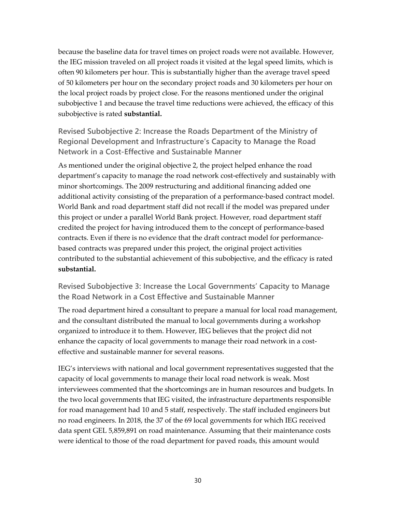because the baseline data for travel times on project roads were not available. However, the IEG mission traveled on all project roads it visited at the legal speed limits, which is often 90 kilometers per hour. This is substantially higher than the average travel speed of 50 kilometers per hour on the secondary project roads and 30 kilometers per hour on the local project roads by project close. For the reasons mentioned under the original subobjective 1 and because the travel time reductions were achieved, the efficacy of this subobjective is rated **substantial.**

**Revised Subobjective 2: Increase the Roads Department of the Ministry of Regional Development and Infrastructure's Capacity to Manage the Road Network in a Cost-Effective and Sustainable Manner**

As mentioned under the original objective 2, the project helped enhance the road department's capacity to manage the road network cost-effectively and sustainably with minor shortcomings. The 2009 restructuring and additional financing added one additional activity consisting of the preparation of a performance-based contract model. World Bank and road department staff did not recall if the model was prepared under this project or under a parallel World Bank project. However, road department staff credited the project for having introduced them to the concept of performance-based contracts. Even if there is no evidence that the draft contract model for performancebased contracts was prepared under this project, the original project activities contributed to the substantial achievement of this subobjective, and the efficacy is rated **substantial.**

**Revised Subobjective 3: Increase the Local Governments' Capacity to Manage the Road Network in a Cost Effective and Sustainable Manner**

The road department hired a consultant to prepare a manual for local road management, and the consultant distributed the manual to local governments during a workshop organized to introduce it to them. However, IEG believes that the project did not enhance the capacity of local governments to manage their road network in a costeffective and sustainable manner for several reasons.

IEG's interviews with national and local government representatives suggested that the capacity of local governments to manage their local road network is weak. Most interviewees commented that the shortcomings are in human resources and budgets. In the two local governments that IEG visited, the infrastructure departments responsible for road management had 10 and 5 staff, respectively. The staff included engineers but no road engineers. In 2018, the 37 of the 69 local governments for which IEG received data spent GEL 5,859,891 on road maintenance. Assuming that their maintenance costs were identical to those of the road department for paved roads, this amount would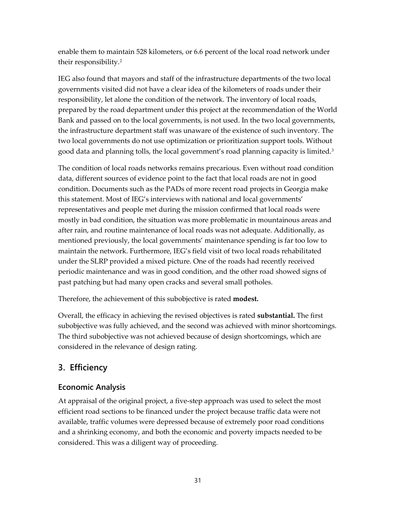enable them to maintain 528 kilometers, or 6.6 percent of the local road network under their responsibility[.2](#page-64-1)

IEG also found that mayors and staff of the infrastructure departments of the two local governments visited did not have a clear idea of the kilometers of roads under their responsibility, let alone the condition of the network. The inventory of local roads, prepared by the road department under this project at the recommendation of the World Bank and passed on to the local governments, is not used. In the two local governments, the infrastructure department staff was unaware of the existence of such inventory. The two local governments do not use optimization or prioritization support tools. Without good data and planning tolls, the local government's road planning capacity is limited.<sup>[3](#page-64-2)</sup>

The condition of local roads networks remains precarious. Even without road condition data, different sources of evidence point to the fact that local roads are not in good condition. Documents such as the PADs of more recent road projects in Georgia make this statement. Most of IEG's interviews with national and local governments' representatives and people met during the mission confirmed that local roads were mostly in bad condition, the situation was more problematic in mountainous areas and after rain, and routine maintenance of local roads was not adequate. Additionally, as mentioned previously, the local governments' maintenance spending is far too low to maintain the network. Furthermore, IEG's field visit of two local roads rehabilitated under the SLRP provided a mixed picture. One of the roads had recently received periodic maintenance and was in good condition, and the other road showed signs of past patching but had many open cracks and several small potholes.

Therefore, the achievement of this subobjective is rated **modest.**

Overall, the efficacy in achieving the revised objectives is rated **substantial.** The first subobjective was fully achieved, and the second was achieved with minor shortcomings. The third subobjective was not achieved because of design shortcomings, which are considered in the relevance of design rating.

# **3. Efficiency**

## **Economic Analysis**

At appraisal of the original project, a five-step approach was used to select the most efficient road sections to be financed under the project because traffic data were not available, traffic volumes were depressed because of extremely poor road conditions and a shrinking economy, and both the economic and poverty impacts needed to be considered. This was a diligent way of proceeding.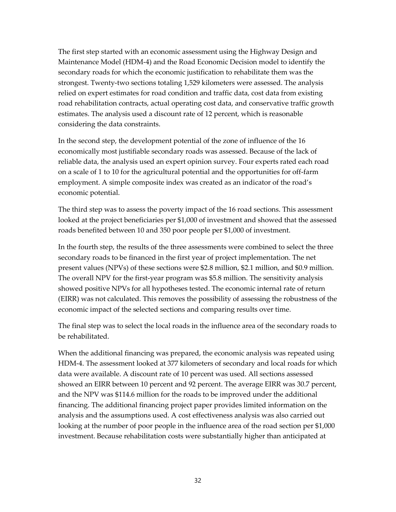The first step started with an economic assessment using the Highway Design and Maintenance Model (HDM-4) and the Road Economic Decision model to identify the secondary roads for which the economic justification to rehabilitate them was the strongest. Twenty-two sections totaling 1,529 kilometers were assessed. The analysis relied on expert estimates for road condition and traffic data, cost data from existing road rehabilitation contracts, actual operating cost data, and conservative traffic growth estimates. The analysis used a discount rate of 12 percent, which is reasonable considering the data constraints.

In the second step, the development potential of the zone of influence of the 16 economically most justifiable secondary roads was assessed. Because of the lack of reliable data, the analysis used an expert opinion survey. Four experts rated each road on a scale of 1 to 10 for the agricultural potential and the opportunities for off-farm employment. A simple composite index was created as an indicator of the road's economic potential.

The third step was to assess the poverty impact of the 16 road sections. This assessment looked at the project beneficiaries per \$1,000 of investment and showed that the assessed roads benefited between 10 and 350 poor people per \$1,000 of investment.

In the fourth step, the results of the three assessments were combined to select the three secondary roads to be financed in the first year of project implementation. The net present values (NPVs) of these sections were \$2.8 million, \$2.1 million, and \$0.9 million. The overall NPV for the first-year program was \$5.8 million. The sensitivity analysis showed positive NPVs for all hypotheses tested. The economic internal rate of return (EIRR) was not calculated. This removes the possibility of assessing the robustness of the economic impact of the selected sections and comparing results over time.

The final step was to select the local roads in the influence area of the secondary roads to be rehabilitated.

When the additional financing was prepared, the economic analysis was repeated using HDM-4. The assessment looked at 377 kilometers of secondary and local roads for which data were available. A discount rate of 10 percent was used. All sections assessed showed an EIRR between 10 percent and 92 percent. The average EIRR was 30.7 percent, and the NPV was \$114.6 million for the roads to be improved under the additional financing. The additional financing project paper provides limited information on the analysis and the assumptions used. A cost effectiveness analysis was also carried out looking at the number of poor people in the influence area of the road section per \$1,000 investment. Because rehabilitation costs were substantially higher than anticipated at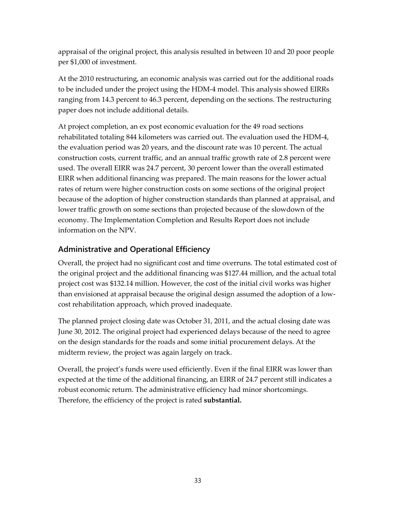appraisal of the original project, this analysis resulted in between 10 and 20 poor people per \$1,000 of investment.

At the 2010 restructuring, an economic analysis was carried out for the additional roads to be included under the project using the HDM-4 model. This analysis showed EIRRs ranging from 14.3 percent to 46.3 percent, depending on the sections. The restructuring paper does not include additional details.

At project completion, an ex post economic evaluation for the 49 road sections rehabilitated totaling 844 kilometers was carried out. The evaluation used the HDM-4, the evaluation period was 20 years, and the discount rate was 10 percent. The actual construction costs, current traffic, and an annual traffic growth rate of 2.8 percent were used. The overall EIRR was 24.7 percent, 30 percent lower than the overall estimated EIRR when additional financing was prepared. The main reasons for the lower actual rates of return were higher construction costs on some sections of the original project because of the adoption of higher construction standards than planned at appraisal, and lower traffic growth on some sections than projected because of the slowdown of the economy. The Implementation Completion and Results Report does not include information on the NPV.

## **Administrative and Operational Efficiency**

Overall, the project had no significant cost and time overruns. The total estimated cost of the original project and the additional financing was \$127.44 million, and the actual total project cost was \$132.14 million. However, the cost of the initial civil works was higher than envisioned at appraisal because the original design assumed the adoption of a lowcost rehabilitation approach, which proved inadequate.

The planned project closing date was October 31, 2011, and the actual closing date was June 30, 2012. The original project had experienced delays because of the need to agree on the design standards for the roads and some initial procurement delays. At the midterm review, the project was again largely on track.

Overall, the project's funds were used efficiently. Even if the final EIRR was lower than expected at the time of the additional financing, an EIRR of 24.7 percent still indicates a robust economic return. The administrative efficiency had minor shortcomings. Therefore, the efficiency of the project is rated **substantial.**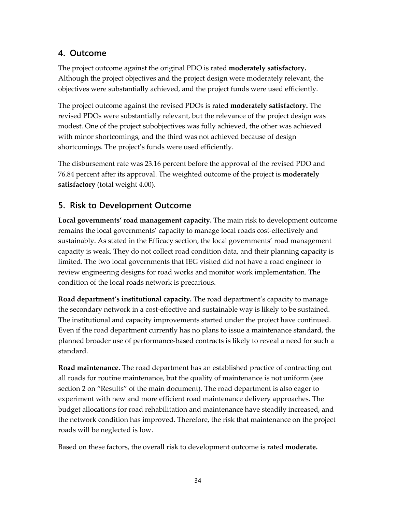# **4. Outcome**

The project outcome against the original PDO is rated **moderately satisfactory.**  Although the project objectives and the project design were moderately relevant, the objectives were substantially achieved, and the project funds were used efficiently.

The project outcome against the revised PDOs is rated **moderately satisfactory.** The revised PDOs were substantially relevant, but the relevance of the project design was modest. One of the project subobjectives was fully achieved, the other was achieved with minor shortcomings, and the third was not achieved because of design shortcomings. The project's funds were used efficiently.

The disbursement rate was 23.16 percent before the approval of the revised PDO and 76.84 percent after its approval. The weighted outcome of the project is **moderately satisfactory** (total weight 4.00).

## **5. Risk to Development Outcome**

**Local governments' road management capacity.** The main risk to development outcome remains the local governments' capacity to manage local roads cost-effectively and sustainably. As stated in the Efficacy section, the local governments' road management capacity is weak. They do not collect road condition data, and their planning capacity is limited. The two local governments that IEG visited did not have a road engineer to review engineering designs for road works and monitor work implementation. The condition of the local roads network is precarious.

**Road department's institutional capacity.** The road department's capacity to manage the secondary network in a cost-effective and sustainable way is likely to be sustained. The institutional and capacity improvements started under the project have continued. Even if the road department currently has no plans to issue a maintenance standard, the planned broader use of performance-based contracts is likely to reveal a need for such a standard.

**Road maintenance.** The road department has an established practice of contracting out all roads for routine maintenance, but the quality of maintenance is not uniform (see section 2 on "Results" of the main document). The road department is also eager to experiment with new and more efficient road maintenance delivery approaches. The budget allocations for road rehabilitation and maintenance have steadily increased, and the network condition has improved. Therefore, the risk that maintenance on the project roads will be neglected is low.

Based on these factors, the overall risk to development outcome is rated **moderate.**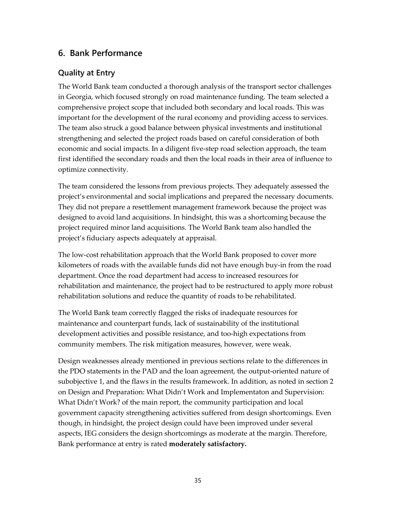## **6. Bank Performance**

#### **Quality at Entry**

The World Bank team conducted a thorough analysis of the transport sector challenges in Georgia, which focused strongly on road maintenance funding. The team selected a comprehensive project scope that included both secondary and local roads. This was important for the development of the rural economy and providing access to services. The team also struck a good balance between physical investments and institutional strengthening and selected the project roads based on careful consideration of both economic and social impacts. In a diligent five-step road selection approach, the team first identified the secondary roads and then the local roads in their area of influence to optimize connectivity.

The team considered the lessons from previous projects. They adequately assessed the project's environmental and social implications and prepared the necessary documents. They did not prepare a resettlement management framework because the project was designed to avoid land acquisitions. In hindsight, this was a shortcoming because the project required minor land acquisitions. The World Bank team also handled the project's fiduciary aspects adequately at appraisal.

The low-cost rehabilitation approach that the World Bank proposed to cover more kilometers of roads with the available funds did not have enough buy-in from the road department. Once the road department had access to increased resources for rehabilitation and maintenance, the project had to be restructured to apply more robust rehabilitation solutions and reduce the quantity of roads to be rehabilitated.

The World Bank team correctly flagged the risks of inadequate resources for maintenance and counterpart funds, lack of sustainability of the institutional development activities and possible resistance, and too-high expectations from community members. The risk mitigation measures, however, were weak.

Design weaknesses already mentioned in previous sections relate to the differences in the PDO statements in the PAD and the loan agreement, the output-oriented nature of subobjective 1, and the flaws in the results framework. In addition, as noted in section 2 on Design and Preparation: What Didn't Work and Implementaton and Supervision: What Didn't Work? of the main report, the community participation and local government capacity strengthening activities suffered from design shortcomings. Even though, in hindsight, the project design could have been improved under several aspects, IEG considers the design shortcomings as moderate at the margin. Therefore, Bank performance at entry is rated **moderately satisfactory.**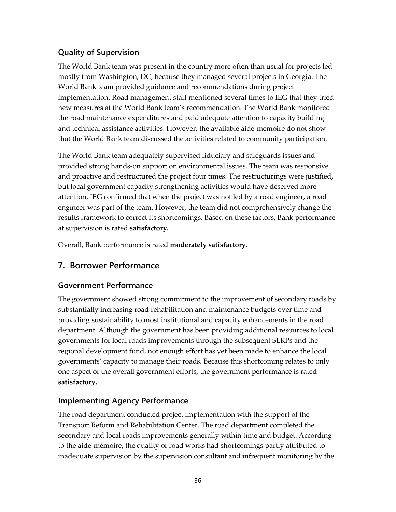## **Quality of Supervision**

The World Bank team was present in the country more often than usual for projects led mostly from Washington, DC, because they managed several projects in Georgia. The World Bank team provided guidance and recommendations during project implementation. Road management staff mentioned several times to IEG that they tried new measures at the World Bank team's recommendation. The World Bank monitored the road maintenance expenditures and paid adequate attention to capacity building and technical assistance activities. However, the available aide-mémoire do not show that the World Bank team discussed the activities related to community participation.

The World Bank team adequately supervised fiduciary and safeguards issues and provided strong hands-on support on environmental issues. The team was responsive and proactive and restructured the project four times. The restructurings were justified, but local government capacity strengthening activities would have deserved more attention. IEG confirmed that when the project was not led by a road engineer, a road engineer was part of the team. However, the team did not comprehensively change the results framework to correct its shortcomings. Based on these factors, Bank performance at supervision is rated **satisfactory.**

Overall, Bank performance is rated **moderately satisfactory.**

## **7. Borrower Performance**

## **Government Performance**

The government showed strong commitment to the improvement of secondary roads by substantially increasing road rehabilitation and maintenance budgets over time and providing sustainability to most institutional and capacity enhancements in the road department. Although the government has been providing additional resources to local governments for local roads improvements through the subsequent SLRPs and the regional development fund, not enough effort has yet been made to enhance the local governments' capacity to manage their roads. Because this shortcoming relates to only one aspect of the overall government efforts, the government performance is rated **satisfactory.**

## **Implementing Agency Performance**

The road department conducted project implementation with the support of the Transport Reform and Rehabilitation Center. The road department completed the secondary and local roads improvements generally within time and budget. According to the aide-mémoire, the quality of road works had shortcomings partly attributed to inadequate supervision by the supervision consultant and infrequent monitoring by the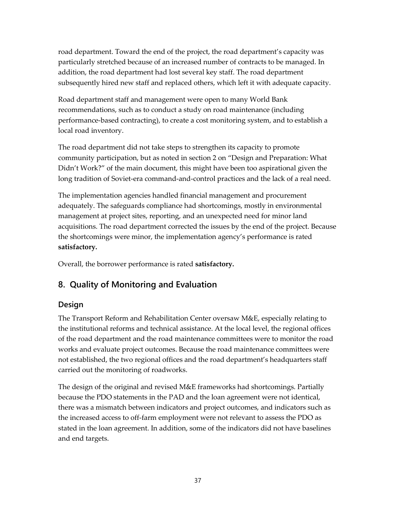road department. Toward the end of the project, the road department's capacity was particularly stretched because of an increased number of contracts to be managed. In addition, the road department had lost several key staff. The road department subsequently hired new staff and replaced others, which left it with adequate capacity.

Road department staff and management were open to many World Bank recommendations, such as to conduct a study on road maintenance (including performance-based contracting), to create a cost monitoring system, and to establish a local road inventory.

The road department did not take steps to strengthen its capacity to promote community participation, but as noted in section 2 on "Design and Preparation: What Didn't Work?" of the main document, this might have been too aspirational given the long tradition of Soviet-era command-and-control practices and the lack of a real need.

The implementation agencies handled financial management and procurement adequately. The safeguards compliance had shortcomings, mostly in environmental management at project sites, reporting, and an unexpected need for minor land acquisitions. The road department corrected the issues by the end of the project. Because the shortcomings were minor, the implementation agency's performance is rated **satisfactory.**

Overall, the borrower performance is rated **satisfactory.**

## **8. Quality of Monitoring and Evaluation**

## **Design**

The Transport Reform and Rehabilitation Center oversaw M&E, especially relating to the institutional reforms and technical assistance. At the local level, the regional offices of the road department and the road maintenance committees were to monitor the road works and evaluate project outcomes. Because the road maintenance committees were not established, the two regional offices and the road department's headquarters staff carried out the monitoring of roadworks.

The design of the original and revised M&E frameworks had shortcomings. Partially because the PDO statements in the PAD and the loan agreement were not identical, there was a mismatch between indicators and project outcomes, and indicators such as the increased access to off-farm employment were not relevant to assess the PDO as stated in the loan agreement. In addition, some of the indicators did not have baselines and end targets.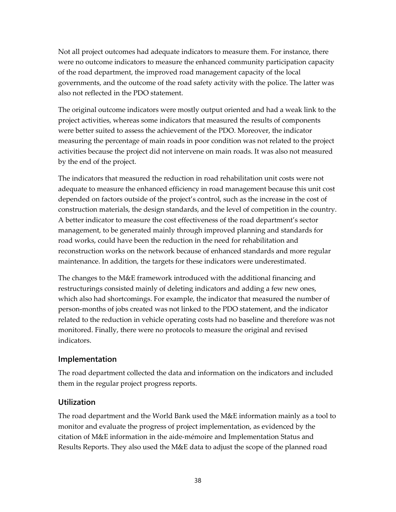Not all project outcomes had adequate indicators to measure them. For instance, there were no outcome indicators to measure the enhanced community participation capacity of the road department, the improved road management capacity of the local governments, and the outcome of the road safety activity with the police. The latter was also not reflected in the PDO statement.

The original outcome indicators were mostly output oriented and had a weak link to the project activities, whereas some indicators that measured the results of components were better suited to assess the achievement of the PDO. Moreover, the indicator measuring the percentage of main roads in poor condition was not related to the project activities because the project did not intervene on main roads. It was also not measured by the end of the project.

The indicators that measured the reduction in road rehabilitation unit costs were not adequate to measure the enhanced efficiency in road management because this unit cost depended on factors outside of the project's control, such as the increase in the cost of construction materials, the design standards, and the level of competition in the country. A better indicator to measure the cost effectiveness of the road department's sector management, to be generated mainly through improved planning and standards for road works, could have been the reduction in the need for rehabilitation and reconstruction works on the network because of enhanced standards and more regular maintenance. In addition, the targets for these indicators were underestimated.

The changes to the M&E framework introduced with the additional financing and restructurings consisted mainly of deleting indicators and adding a few new ones, which also had shortcomings. For example, the indicator that measured the number of person-months of jobs created was not linked to the PDO statement, and the indicator related to the reduction in vehicle operating costs had no baseline and therefore was not monitored. Finally, there were no protocols to measure the original and revised indicators.

#### **Implementation**

The road department collected the data and information on the indicators and included them in the regular project progress reports.

#### **Utilization**

The road department and the World Bank used the M&E information mainly as a tool to monitor and evaluate the progress of project implementation, as evidenced by the citation of M&E information in the aide-mémoire and Implementation Status and Results Reports. They also used the M&E data to adjust the scope of the planned road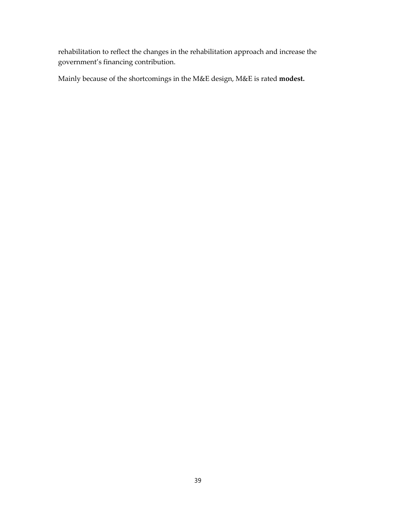rehabilitation to reflect the changes in the rehabilitation approach and increase the government's financing contribution.

Mainly because of the shortcomings in the M&E design, M&E is rated **modest.**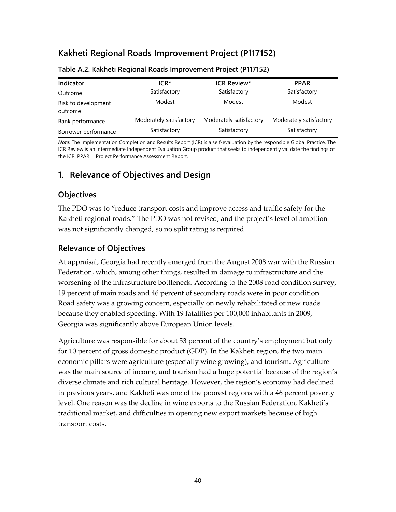# **Kakheti Regional Roads Improvement Project (P117152)**

| Indicator                      | $ICR*$                  | <b>ICR Review*</b>      | <b>PPAR</b>             |
|--------------------------------|-------------------------|-------------------------|-------------------------|
| Outcome                        | Satisfactory            | Satisfactory            | Satisfactory            |
| Risk to development<br>outcome | Modest                  | Modest                  | Modest                  |
| Bank performance               | Moderately satisfactory | Moderately satisfactory | Moderately satisfactory |
| Borrower performance           | Satisfactory            | Satisfactory            | Satisfactory            |

#### **Table A.2. Kakheti Regional Roads Improvement Project (P117152)**

*Note:* The Implementation Completion and Results Report (ICR) is a self-evaluation by the responsible Global Practice. The ICR Review is an intermediate Independent Evaluation Group product that seeks to independently validate the findings of the ICR. PPAR = Project Performance Assessment Report.

## **1. Relevance of Objectives and Design**

#### **Objectives**

The PDO was to "reduce transport costs and improve access and traffic safety for the Kakheti regional roads." The PDO was not revised, and the project's level of ambition was not significantly changed, so no split rating is required.

#### **Relevance of Objectives**

At appraisal, Georgia had recently emerged from the August 2008 war with the Russian Federation, which, among other things, resulted in damage to infrastructure and the worsening of the infrastructure bottleneck. According to the 2008 road condition survey, 19 percent of main roads and 46 percent of secondary roads were in poor condition. Road safety was a growing concern, especially on newly rehabilitated or new roads because they enabled speeding. With 19 fatalities per 100,000 inhabitants in 2009, Georgia was significantly above European Union levels.

Agriculture was responsible for about 53 percent of the country's employment but only for 10 percent of gross domestic product (GDP). In the Kakheti region, the two main economic pillars were agriculture (especially wine growing), and tourism. Agriculture was the main source of income, and tourism had a huge potential because of the region's diverse climate and rich cultural heritage. However, the region's economy had declined in previous years, and Kakheti was one of the poorest regions with a 46 percent poverty level. One reason was the decline in wine exports to the Russian Federation, Kakheti's traditional market, and difficulties in opening new export markets because of high transport costs.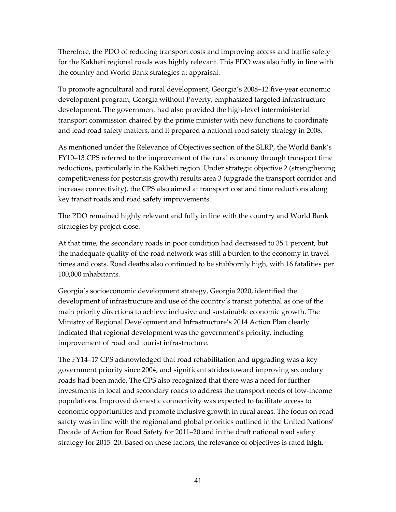Therefore, the PDO of reducing transport costs and improving access and traffic safety for the Kakheti regional roads was highly relevant. This PDO was also fully in line with the country and World Bank strategies at appraisal.

To promote agricultural and rural development, Georgia's 2008–12 five-year economic development program, Georgia without Poverty, emphasized targeted infrastructure development. The government had also provided the high-level interministerial transport commission chaired by the prime minister with new functions to coordinate and lead road safety matters, and it prepared a national road safety strategy in 2008.

As mentioned under the Relevance of Objectives section of the SLRP, the World Bank's FY10–13 CPS referred to the improvement of the rural economy through transport time reductions, particularly in the Kakheti region. Under strategic objective 2 (strengthening competitiveness for postcrisis growth) results area 3 (upgrade the transport corridor and increase connectivity), the CPS also aimed at transport cost and time reductions along key transit roads and road safety improvements.

The PDO remained highly relevant and fully in line with the country and World Bank strategies by project close.

At that time, the secondary roads in poor condition had decreased to 35.1 percent, but the inadequate quality of the road network was still a burden to the economy in travel times and costs. Road deaths also continued to be stubbornly high, with 16 fatalities per 100,000 inhabitants.

Georgia's socioeconomic development strategy, Georgia 2020, identified the development of infrastructure and use of the country's transit potential as one of the main priority directions to achieve inclusive and sustainable economic growth. The Ministry of Regional Development and Infrastructure's 2014 Action Plan clearly indicated that regional development was the government's priority, including improvement of road and tourist infrastructure.

The FY14–17 CPS acknowledged that road rehabilitation and upgrading was a key government priority since 2004, and significant strides toward improving secondary roads had been made. The CPS also recognized that there was a need for further investments in local and secondary roads to address the transport needs of low-income populations. Improved domestic connectivity was expected to facilitate access to economic opportunities and promote inclusive growth in rural areas. The focus on road safety was in line with the regional and global priorities outlined in the United Nations' Decade of Action for Road Safety for 2011–20 and in the draft national road safety strategy for 2015–20. Based on these factors, the relevance of objectives is rated **high.**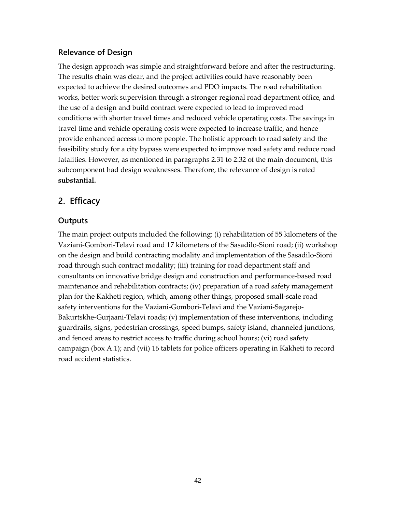#### **Relevance of Design**

The design approach was simple and straightforward before and after the restructuring. The results chain was clear, and the project activities could have reasonably been expected to achieve the desired outcomes and PDO impacts. The road rehabilitation works, better work supervision through a stronger regional road department office, and the use of a design and build contract were expected to lead to improved road conditions with shorter travel times and reduced vehicle operating costs. The savings in travel time and vehicle operating costs were expected to increase traffic, and hence provide enhanced access to more people. The holistic approach to road safety and the feasibility study for a city bypass were expected to improve road safety and reduce road fatalities. However, as mentioned in paragraph[s 2.31](#page-26-0) to [2.32](#page-26-1) of the main document, this subcomponent had design weaknesses. Therefore, the relevance of design is rated **substantial.**

## **2. Efficacy**

#### **Outputs**

The main project outputs included the following: (i) rehabilitation of 55 kilometers of the Vaziani-Gombori-Telavi road and 17 kilometers of the Sasadilo-Sioni road; (ii) workshop on the design and build contracting modality and implementation of the Sasadilo-Sioni road through such contract modality; (iii) training for road department staff and consultants on innovative bridge design and construction and performance-based road maintenance and rehabilitation contracts; (iv) preparation of a road safety management plan for the Kakheti region, which, among other things, proposed small-scale road safety interventions for the Vaziani-Gombori-Telavi and the Vaziani-Sagarejo-Bakurtskhe-Gurjaani-Telavi roads; (v) implementation of these interventions, including guardrails, signs, pedestrian crossings, speed bumps, safety island, channeled junctions, and fenced areas to restrict access to traffic during school hours; (vi) road safety campaign (box A.1); and (vii) 16 tablets for police officers operating in Kakheti to record road accident statistics.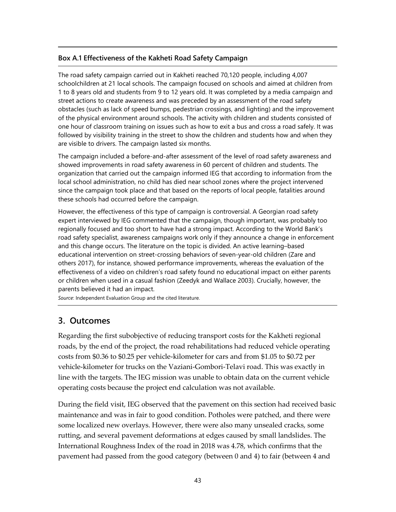#### **Box A.1 Effectiveness of the Kakheti Road Safety Campaign**

The road safety campaign carried out in Kakheti reached 70,120 people, including 4,007 schoolchildren at 21 local schools. The campaign focused on schools and aimed at children from 1 to 8 years old and students from 9 to 12 years old. It was completed by a media campaign and street actions to create awareness and was preceded by an assessment of the road safety obstacles (such as lack of speed bumps, pedestrian crossings, and lighting) and the improvement of the physical environment around schools. The activity with children and students consisted of one hour of classroom training on issues such as how to exit a bus and cross a road safely. It was followed by visibility training in the street to show the children and students how and when they are visible to drivers. The campaign lasted six months.

The campaign included a before-and-after assessment of the level of road safety awareness and showed improvements in road safety awareness in 60 percent of children and students. The organization that carried out the campaign informed IEG that according to information from the local school administration, no child has died near school zones where the project intervened since the campaign took place and that based on the reports of local people, fatalities around these schools had occurred before the campaign.

However, the effectiveness of this type of campaign is controversial. A Georgian road safety expert interviewed by IEG commented that the campaign, though important, was probably too regionally focused and too short to have had a strong impact. According to the World Bank's road safety specialist, awareness campaigns work only if they announce a change in enforcement and this change occurs. The literature on the topic is divided. An active learning–based educational intervention on street-crossing behaviors of seven-year-old children (Zare and others 2017), for instance, showed performance improvements, whereas the evaluation of the effectiveness of a video on children's road safety found no educational impact on either parents or children when used in a casual fashion (Zeedyk and Wallace 2003). Crucially, however, the parents believed it had an impact.

*Source*: Independent Evaluation Group and the cited literature.

## **3. Outcomes**

Regarding the first subobjective of reducing transport costs for the Kakheti regional roads, by the end of the project, the road rehabilitations had reduced vehicle operating costs from \$0.36 to \$0.25 per vehicle-kilometer for cars and from \$1.05 to \$0.72 per vehicle-kilometer for trucks on the Vaziani-Gombori-Telavi road. This was exactly in line with the targets. The IEG mission was unable to obtain data on the current vehicle operating costs because the project end calculation was not available.

During the field visit, IEG observed that the pavement on this section had received basic maintenance and was in fair to good condition. Potholes were patched, and there were some localized new overlays. However, there were also many unsealed cracks, some rutting, and several pavement deformations at edges caused by small landslides. The International Roughness Index of the road in 2018 was 4.78, which confirms that the pavement had passed from the good category (between 0 and 4) to fair (between 4 and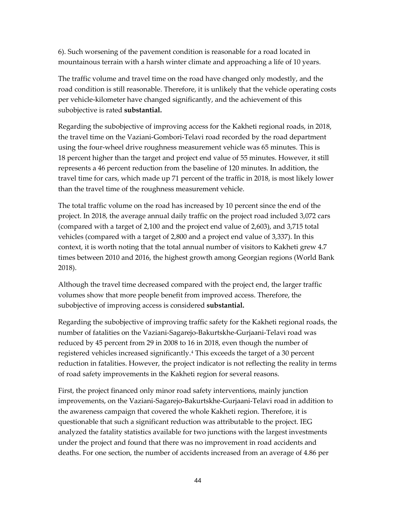6). Such worsening of the pavement condition is reasonable for a road located in mountainous terrain with a harsh winter climate and approaching a life of 10 years.

The traffic volume and travel time on the road have changed only modestly, and the road condition is still reasonable. Therefore, it is unlikely that the vehicle operating costs per vehicle-kilometer have changed significantly, and the achievement of this subobjective is rated **substantial.**

Regarding the subobjective of improving access for the Kakheti regional roads, in 2018, the travel time on the Vaziani-Gombori-Telavi road recorded by the road department using the four-wheel drive roughness measurement vehicle was 65 minutes. This is 18 percent higher than the target and project end value of 55 minutes. However, it still represents a 46 percent reduction from the baseline of 120 minutes. In addition, the travel time for cars, which made up 71 percent of the traffic in 2018, is most likely lower than the travel time of the roughness measurement vehicle.

The total traffic volume on the road has increased by 10 percent since the end of the project. In 2018, the average annual daily traffic on the project road included 3,072 cars (compared with a target of 2,100 and the project end value of 2,603), and 3,715 total vehicles (compared with a target of 2,800 and a project end value of 3,337). In this context, it is worth noting that the total annual number of visitors to Kakheti grew 4.7 times between 2010 and 2016, the highest growth among Georgian regions (World Bank 2018).

Although the travel time decreased compared with the project end, the larger traffic volumes show that more people benefit from improved access. Therefore, the subobjective of improving access is considered **substantial.**

Regarding the subobjective of improving traffic safety for the Kakheti regional roads, the number of fatalities on the Vaziani-Sagarejo-Bakurtskhe-Gurjaani-Telavi road was reduced by 45 percent from 29 in 2008 to 16 in 2018, even though the number of registered vehicles increased significantly.[4](#page-65-0) This exceeds the target of a 30 percent reduction in fatalities. However, the project indicator is not reflecting the reality in terms of road safety improvements in the Kakheti region for several reasons.

First, the project financed only minor road safety interventions, mainly junction improvements, on the Vaziani-Sagarejo-Bakurtskhe-Gurjaani-Telavi road in addition to the awareness campaign that covered the whole Kakheti region. Therefore, it is questionable that such a significant reduction was attributable to the project. IEG analyzed the fatality statistics available for two junctions with the largest investments under the project and found that there was no improvement in road accidents and deaths. For one section, the number of accidents increased from an average of 4.86 per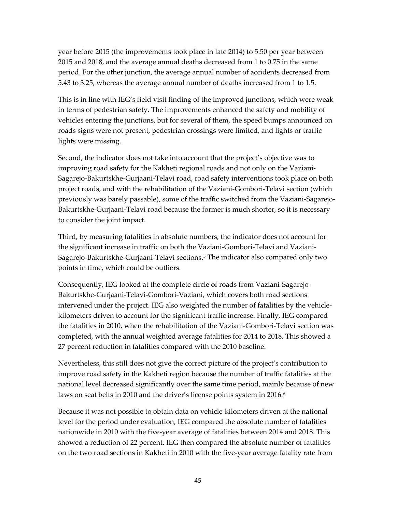year before 2015 (the improvements took place in late 2014) to 5.50 per year between 2015 and 2018, and the average annual deaths decreased from 1 to 0.75 in the same period. For the other junction, the average annual number of accidents decreased from 5.43 to 3.25, whereas the average annual number of deaths increased from 1 to 1.5.

This is in line with IEG's field visit finding of the improved junctions, which were weak in terms of pedestrian safety. The improvements enhanced the safety and mobility of vehicles entering the junctions, but for several of them, the speed bumps announced on roads signs were not present, pedestrian crossings were limited, and lights or traffic lights were missing.

Second, the indicator does not take into account that the project's objective was to improving road safety for the Kakheti regional roads and not only on the Vaziani-Sagarejo-Bakurtskhe-Gurjaani-Telavi road, road safety interventions took place on both project roads, and with the rehabilitation of the Vaziani-Gombori-Telavi section (which previously was barely passable), some of the traffic switched from the Vaziani-Sagarejo-Bakurtskhe-Gurjaani-Telavi road because the former is much shorter, so it is necessary to consider the joint impact.

Third, by measuring fatalities in absolute numbers, the indicator does not account for the significant increase in traffic on both the Vaziani-Gombori-Telavi and Vaziani-Sagarejo-Bakurtskhe-Gurjaani-Telavi sections.[5](#page-65-1) The indicator also compared only two points in time, which could be outliers.

Consequently, IEG looked at the complete circle of roads from Vaziani-Sagarejo-Bakurtskhe-Gurjaani-Telavi-Gombori-Vaziani, which covers both road sections intervened under the project. IEG also weighted the number of fatalities by the vehiclekilometers driven to account for the significant traffic increase. Finally, IEG compared the fatalities in 2010, when the rehabilitation of the Vaziani-Gombori-Telavi section was completed, with the annual weighted average fatalities for 2014 to 2018. This showed a 27 percent reduction in fatalities compared with the 2010 baseline.

Nevertheless, this still does not give the correct picture of the project's contribution to improve road safety in the Kakheti region because the number of traffic fatalities at the national level decreased significantly over the same time period, mainly because of new laws on seat belts in 2010 and the driver's license points system in 201[6](#page-65-2).<sup>6</sup>

Because it was not possible to obtain data on vehicle-kilometers driven at the national level for the period under evaluation, IEG compared the absolute number of fatalities nationwide in 2010 with the five-year average of fatalities between 2014 and 2018. This showed a reduction of 22 percent. IEG then compared the absolute number of fatalities on the two road sections in Kakheti in 2010 with the five-year average fatality rate from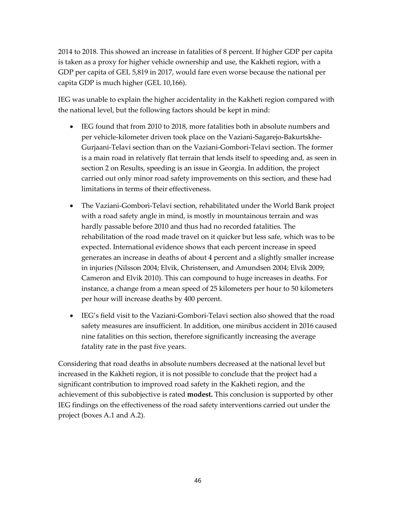2014 to 2018. This showed an increase in fatalities of 8 percent. If higher GDP per capita is taken as a proxy for higher vehicle ownership and use, the Kakheti region, with a GDP per capita of GEL 5,819 in 2017, would fare even worse because the national per capita GDP is much higher (GEL 10,166).

IEG was unable to explain the higher accidentality in the Kakheti region compared with the national level, but the following factors should be kept in mind:

- IEG found that from 2010 to 2018, more fatalities both in absolute numbers and per vehicle-kilometer driven took place on the Vaziani-Sagarejo-Bakurtskhe-Gurjaani-Telavi section than on the Vaziani-Gombori-Telavi section. The former is a main road in relatively flat terrain that lends itself to speeding and, as seen in section 2 on Results, speeding is an issue in Georgia. In addition, the project carried out only minor road safety improvements on this section, and these had limitations in terms of their effectiveness.
- The Vaziani-Gombori-Telavi section, rehabilitated under the World Bank project with a road safety angle in mind, is mostly in mountainous terrain and was hardly passable before 2010 and thus had no recorded fatalities. The rehabilitation of the road made travel on it quicker but less safe, which was to be expected. International evidence shows that each percent increase in speed generates an increase in deaths of about 4 percent and a slightly smaller increase in injuries (Nilsson 2004; Elvik, Christensen, and Amundsen 2004; Elvik 2009; Cameron and Elvik 2010). This can compound to huge increases in deaths. For instance, a change from a mean speed of 25 kilometers per hour to 50 kilometers per hour will increase deaths by 400 percent.
- IEG's field visit to the Vaziani-Gombori-Telavi section also showed that the road safety measures are insufficient. In addition, one minibus accident in 2016 caused nine fatalities on this section, therefore significantly increasing the average fatality rate in the past five years.

Considering that road deaths in absolute numbers decreased at the national level but increased in the Kakheti region, it is not possible to conclude that the project had a significant contribution to improved road safety in the Kakheti region, and the achievement of this subobjective is rated **modest.** This conclusion is supported by other IEG findings on the effectiveness of the road safety interventions carried out under the project (boxes A.1 and A.2).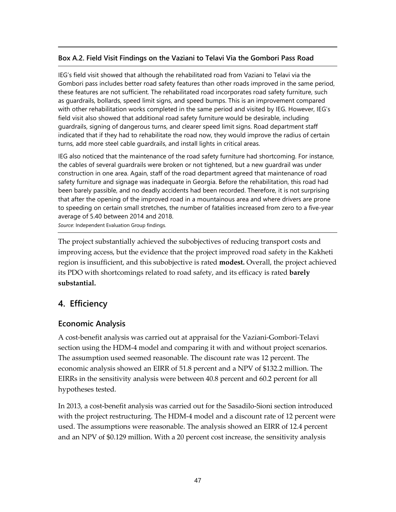#### **Box A.2. Field Visit Findings on the Vaziani to Telavi Via the Gombori Pass Road**

IEG's field visit showed that although the rehabilitated road from Vaziani to Telavi via the Gombori pass includes better road safety features than other roads improved in the same period, these features are not sufficient. The rehabilitated road incorporates road safety furniture, such as guardrails, bollards, speed limit signs, and speed bumps. This is an improvement compared with other rehabilitation works completed in the same period and visited by IEG. However, IEG's field visit also showed that additional road safety furniture would be desirable, including guardrails, signing of dangerous turns, and clearer speed limit signs. Road department staff indicated that if they had to rehabilitate the road now, they would improve the radius of certain turns, add more steel cable guardrails, and install lights in critical areas.

IEG also noticed that the maintenance of the road safety furniture had shortcoming. For instance, the cables of several guardrails were broken or not tightened, but a new guardrail was under construction in one area. Again, staff of the road department agreed that maintenance of road safety furniture and signage was inadequate in Georgia. Before the rehabilitation, this road had been barely passible, and no deadly accidents had been recorded. Therefore, it is not surprising that after the opening of the improved road in a mountainous area and where drivers are prone to speeding on certain small stretches, the number of fatalities increased from zero to a five-year average of 5.40 between 2014 and 2018.

*Source*: Independent Evaluation Group findings.

The project substantially achieved the subobjectives of reducing transport costs and improving access, but the evidence that the project improved road safety in the Kakheti region is insufficient, and this subobjective is rated **modest.** Overall, the project achieved its PDO with shortcomings related to road safety, and its efficacy is rated **barely substantial.**

## **4. Efficiency**

## **Economic Analysis**

A cost-benefit analysis was carried out at appraisal for the Vaziani-Gombori-Telavi section using the HDM-4 model and comparing it with and without project scenarios. The assumption used seemed reasonable. The discount rate was 12 percent. The economic analysis showed an EIRR of 51.8 percent and a NPV of \$132.2 million. The EIRRs in the sensitivity analysis were between 40.8 percent and 60.2 percent for all hypotheses tested.

In 2013, a cost-benefit analysis was carried out for the Sasadilo-Sioni section introduced with the project restructuring. The HDM-4 model and a discount rate of 12 percent were used. The assumptions were reasonable. The analysis showed an EIRR of 12.4 percent and an NPV of \$0.129 million. With a 20 percent cost increase, the sensitivity analysis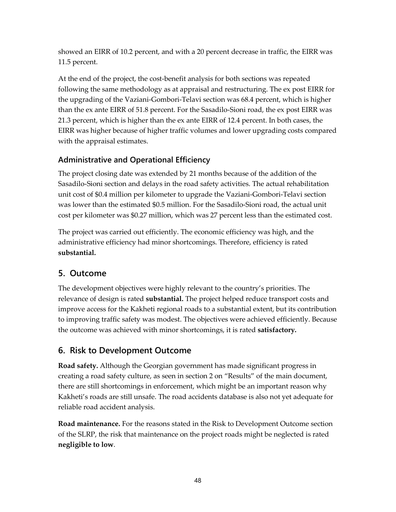showed an EIRR of 10.2 percent, and with a 20 percent decrease in traffic, the EIRR was 11.5 percent.

At the end of the project, the cost-benefit analysis for both sections was repeated following the same methodology as at appraisal and restructuring. The ex post EIRR for the upgrading of the Vaziani-Gombori-Telavi section was 68.4 percent, which is higher than the ex ante EIRR of 51.8 percent. For the Sasadilo-Sioni road, the ex post EIRR was 21.3 percent, which is higher than the ex ante EIRR of 12.4 percent. In both cases, the EIRR was higher because of higher traffic volumes and lower upgrading costs compared with the appraisal estimates.

## **Administrative and Operational Efficiency**

The project closing date was extended by 21 months because of the addition of the Sasadilo-Sioni section and delays in the road safety activities. The actual rehabilitation unit cost of \$0.4 million per kilometer to upgrade the Vaziani-Gombori-Telavi section was lower than the estimated \$0.5 million. For the Sasadilo-Sioni road, the actual unit cost per kilometer was \$0.27 million, which was 27 percent less than the estimated cost.

The project was carried out efficiently. The economic efficiency was high, and the administrative efficiency had minor shortcomings. Therefore, efficiency is rated **substantial.**

## **5. Outcome**

The development objectives were highly relevant to the country's priorities. The relevance of design is rated **substantial.** The project helped reduce transport costs and improve access for the Kakheti regional roads to a substantial extent, but its contribution to improving traffic safety was modest. The objectives were achieved efficiently. Because the outcome was achieved with minor shortcomings, it is rated **satisfactory.**

## **6. Risk to Development Outcome**

**Road safety.** Although the Georgian government has made significant progress in creating a road safety culture, as seen in section 2 on "Results" of the main document, there are still shortcomings in enforcement, which might be an important reason why Kakheti's roads are still unsafe. The road accidents database is also not yet adequate for reliable road accident analysis.

**Road maintenance.** For the reasons stated in the Risk to Development Outcome section of the SLRP, the risk that maintenance on the project roads might be neglected is rated **negligible to low**.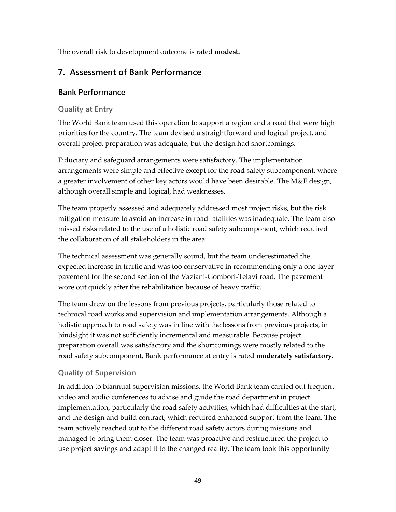The overall risk to development outcome is rated **modest.**

## **7. Assessment of Bank Performance**

#### **Bank Performance**

#### **Quality at Entry**

The World Bank team used this operation to support a region and a road that were high priorities for the country. The team devised a straightforward and logical project, and overall project preparation was adequate, but the design had shortcomings.

Fiduciary and safeguard arrangements were satisfactory. The implementation arrangements were simple and effective except for the road safety subcomponent, where a greater involvement of other key actors would have been desirable. The M&E design, although overall simple and logical, had weaknesses.

The team properly assessed and adequately addressed most project risks, but the risk mitigation measure to avoid an increase in road fatalities was inadequate. The team also missed risks related to the use of a holistic road safety subcomponent, which required the collaboration of all stakeholders in the area.

The technical assessment was generally sound, but the team underestimated the expected increase in traffic and was too conservative in recommending only a one-layer pavement for the second section of the Vaziani-Gombori-Telavi road. The pavement wore out quickly after the rehabilitation because of heavy traffic.

The team drew on the lessons from previous projects, particularly those related to technical road works and supervision and implementation arrangements. Although a holistic approach to road safety was in line with the lessons from previous projects, in hindsight it was not sufficiently incremental and measurable. Because project preparation overall was satisfactory and the shortcomings were mostly related to the road safety subcomponent, Bank performance at entry is rated **moderately satisfactory.**

## **Quality of Supervision**

In addition to biannual supervision missions, the World Bank team carried out frequent video and audio conferences to advise and guide the road department in project implementation, particularly the road safety activities, which had difficulties at the start, and the design and build contract, which required enhanced support from the team. The team actively reached out to the different road safety actors during missions and managed to bring them closer. The team was proactive and restructured the project to use project savings and adapt it to the changed reality. The team took this opportunity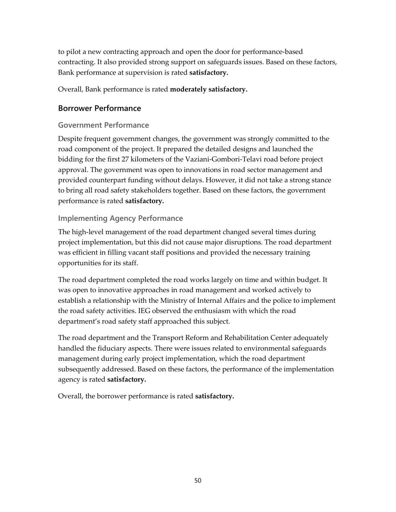to pilot a new contracting approach and open the door for performance-based contracting. It also provided strong support on safeguards issues. Based on these factors, Bank performance at supervision is rated **satisfactory.**

Overall, Bank performance is rated **moderately satisfactory.**

#### **Borrower Performance**

#### **Government Performance**

Despite frequent government changes, the government was strongly committed to the road component of the project. It prepared the detailed designs and launched the bidding for the first 27 kilometers of the Vaziani-Gombori-Telavi road before project approval. The government was open to innovations in road sector management and provided counterpart funding without delays. However, it did not take a strong stance to bring all road safety stakeholders together. Based on these factors, the government performance is rated **satisfactory.**

#### **Implementing Agency Performance**

The high-level management of the road department changed several times during project implementation, but this did not cause major disruptions. The road department was efficient in filling vacant staff positions and provided the necessary training opportunities for its staff.

The road department completed the road works largely on time and within budget. It was open to innovative approaches in road management and worked actively to establish a relationship with the Ministry of Internal Affairs and the police to implement the road safety activities. IEG observed the enthusiasm with which the road department's road safety staff approached this subject.

The road department and the Transport Reform and Rehabilitation Center adequately handled the fiduciary aspects. There were issues related to environmental safeguards management during early project implementation, which the road department subsequently addressed. Based on these factors, the performance of the implementation agency is rated **satisfactory.**

Overall, the borrower performance is rated **satisfactory.**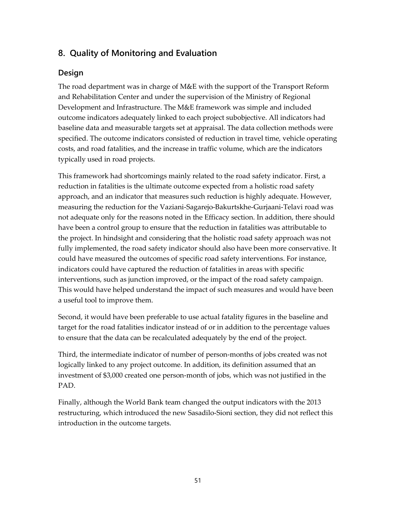## **8. Quality of Monitoring and Evaluation**

#### **Design**

The road department was in charge of M&E with the support of the Transport Reform and Rehabilitation Center and under the supervision of the Ministry of Regional Development and Infrastructure. The M&E framework was simple and included outcome indicators adequately linked to each project subobjective. All indicators had baseline data and measurable targets set at appraisal. The data collection methods were specified. The outcome indicators consisted of reduction in travel time, vehicle operating costs, and road fatalities, and the increase in traffic volume, which are the indicators typically used in road projects.

This framework had shortcomings mainly related to the road safety indicator. First, a reduction in fatalities is the ultimate outcome expected from a holistic road safety approach, and an indicator that measures such reduction is highly adequate. However, measuring the reduction for the Vaziani-Sagarejo-Bakurtskhe-Gurjaani-Telavi road was not adequate only for the reasons noted in the Efficacy section. In addition, there should have been a control group to ensure that the reduction in fatalities was attributable to the project. In hindsight and considering that the holistic road safety approach was not fully implemented, the road safety indicator should also have been more conservative. It could have measured the outcomes of specific road safety interventions. For instance, indicators could have captured the reduction of fatalities in areas with specific interventions, such as junction improved, or the impact of the road safety campaign. This would have helped understand the impact of such measures and would have been a useful tool to improve them.

Second, it would have been preferable to use actual fatality figures in the baseline and target for the road fatalities indicator instead of or in addition to the percentage values to ensure that the data can be recalculated adequately by the end of the project.

Third, the intermediate indicator of number of person-months of jobs created was not logically linked to any project outcome. In addition, its definition assumed that an investment of \$3,000 created one person-month of jobs, which was not justified in the PAD.

Finally, although the World Bank team changed the output indicators with the 2013 restructuring, which introduced the new Sasadilo-Sioni section, they did not reflect this introduction in the outcome targets.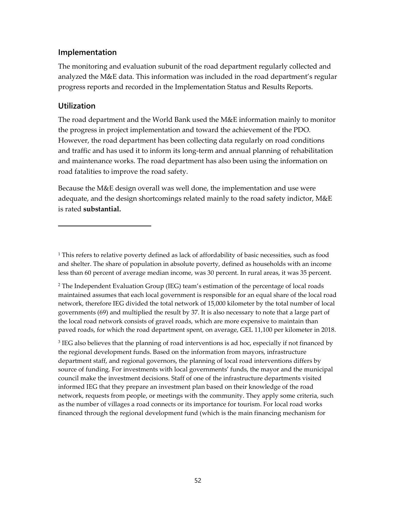#### **Implementation**

The monitoring and evaluation subunit of the road department regularly collected and analyzed the M&E data. This information was included in the road department's regular progress reports and recorded in the Implementation Status and Results Reports.

#### **Utilization**

The road department and the World Bank used the M&E information mainly to monitor the progress in project implementation and toward the achievement of the PDO. However, the road department has been collecting data regularly on road conditions and traffic and has used it to inform its long-term and annual planning of rehabilitation and maintenance works. The road department has also been using the information on road fatalities to improve the road safety.

Because the M&E design overall was well done, the implementation and use were adequate, and the design shortcomings related mainly to the road safety indictor, M&E is rated **substantial.**

<sup>3</sup> IEG also believes that the planning of road interventions is ad hoc, especially if not financed by the regional development funds. Based on the information from mayors, infrastructure department staff, and regional governors, the planning of local road interventions differs by source of funding. For investments with local governments' funds, the mayor and the municipal council make the investment decisions. Staff of one of the infrastructure departments visited informed IEG that they prepare an investment plan based on their knowledge of the road network, requests from people, or meetings with the community. They apply some criteria, such as the number of villages a road connects or its importance for tourism. For local road works financed through the regional development fund (which is the main financing mechanism for

<sup>&</sup>lt;sup>1</sup> This refers to relative poverty defined as lack of affordability of basic necessities, such as food and shelter. The share of population in absolute poverty, defined as households with an income less than 60 percent of average median income, was 30 percent. In rural areas, it was 35 percent.

<sup>2</sup> The Independent Evaluation Group (IEG) team's estimation of the percentage of local roads maintained assumes that each local government is responsible for an equal share of the local road network, therefore IEG divided the total network of 15,000 kilometer by the total number of local governments (69) and multiplied the result by 37. It is also necessary to note that a large part of the local road network consists of gravel roads, which are more expensive to maintain than paved roads, for which the road department spent, on average, GEL 11,100 per kilometer in 2018.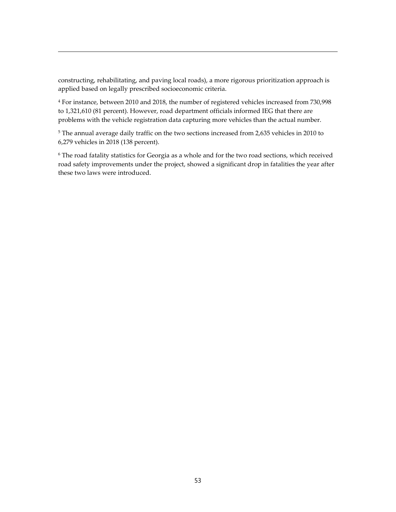constructing, rehabilitating, and paving local roads), a more rigorous prioritization approach is applied based on legally prescribed socioeconomic criteria.

<sup>4</sup> For instance, between 2010 and 2018, the number of registered vehicles increased from 730,998 to 1,321,610 (81 percent). However, road department officials informed IEG that there are problems with the vehicle registration data capturing more vehicles than the actual number.

<sup>5</sup> The annual average daily traffic on the two sections increased from 2,635 vehicles in 2010 to 6,279 vehicles in 2018 (138 percent).

<span id="page-64-2"></span><span id="page-64-1"></span><span id="page-64-0"></span><sup>6</sup> The road fatality statistics for Georgia as a whole and for the two road sections, which received road safety improvements under the project, showed a significant drop in fatalities the year after these two laws were introduced.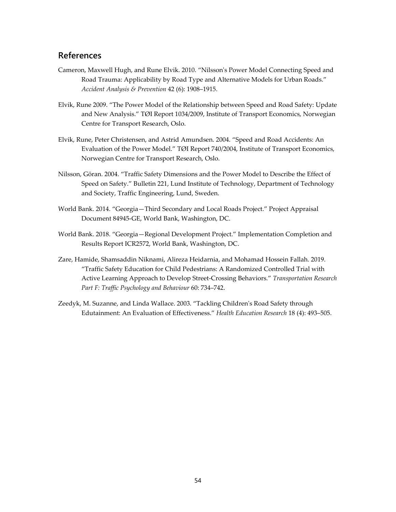#### **References**

- Cameron, Maxwell Hugh, and Rune Elvik. 2010. "Nilsson's Power Model Connecting Speed and Road Trauma: Applicability by Road Type and Alternative Models for Urban Roads." *Accident Analysis & Prevention* 42 (6): 1908–1915.
- <span id="page-65-0"></span>Elvik, Rune 2009. "The Power Model of the Relationship between Speed and Road Safety: Update and New Analysis." TØI Report 1034/2009, Institute of Transport Economics, Norwegian Centre for Transport Research, Oslo.
- <span id="page-65-2"></span><span id="page-65-1"></span>Elvik, Rune, Peter Christensen, and Astrid Amundsen. 2004. "Speed and Road Accidents: An Evaluation of the Power Model." TØI Report 740/2004, Institute of Transport Economics, Norwegian Centre for Transport Research, Oslo.
- Nilsson, Göran. 2004. "Traffic Safety Dimensions and the Power Model to Describe the Effect of Speed on Safety." Bulletin 221, Lund Institute of Technology, Department of Technology and Society, Traffic Engineering, Lund, Sweden.
- World Bank. 2014. "Georgia—Third Secondary and Local Roads Project." Project Appraisal Document 84945-GE, World Bank, Washington, DC.
- World Bank. 2018. "Georgia—Regional Development Project." Implementation Completion and Results Report ICR2572, World Bank, Washington, DC.
- Zare, Hamide, Shamsaddin Niknami, Alireza Heidarnia, and Mohamad Hossein Fallah. 2019. "Traffic Safety Education for Child Pedestrians: A Randomized Controlled Trial with Active Learning Approach to Develop Street-Crossing Behaviors." *Transportation Research Part F: Traffic Psychology and Behaviour* 60: 734–742.
- Zeedyk, M. Suzanne, and Linda Wallace. 2003. "Tackling Children's Road Safety through Edutainment: An Evaluation of Effectiveness." *Health Education Research* 18 (4): 493–505.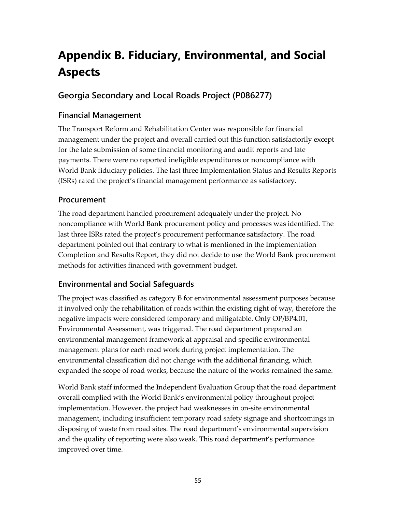# **Appendix B. Fiduciary, Environmental, and Social Aspects**

## **Georgia Secondary and Local Roads Project (P086277)**

#### **Financial Management**

The Transport Reform and Rehabilitation Center was responsible for financial management under the project and overall carried out this function satisfactorily except for the late submission of some financial monitoring and audit reports and late payments. There were no reported ineligible expenditures or noncompliance with World Bank fiduciary policies. The last three Implementation Status and Results Reports (ISRs) rated the project's financial management performance as satisfactory.

#### **Procurement**

The road department handled procurement adequately under the project. No noncompliance with World Bank procurement policy and processes was identified. The last three ISRs rated the project's procurement performance satisfactory. The road department pointed out that contrary to what is mentioned in the Implementation Completion and Results Report, they did not decide to use the World Bank procurement methods for activities financed with government budget.

## **Environmental and Social Safeguards**

The project was classified as category B for environmental assessment purposes because it involved only the rehabilitation of roads within the existing right of way, therefore the negative impacts were considered temporary and mitigatable. Only OP/BP4.01, Environmental Assessment, was triggered. The road department prepared an environmental management framework at appraisal and specific environmental management plans for each road work during project implementation. The environmental classification did not change with the additional financing, which expanded the scope of road works, because the nature of the works remained the same.

World Bank staff informed the Independent Evaluation Group that the road department overall complied with the World Bank's environmental policy throughout project implementation. However, the project had weaknesses in on-site environmental management, including insufficient temporary road safety signage and shortcomings in disposing of waste from road sites. The road department's environmental supervision and the quality of reporting were also weak. This road department's performance improved over time.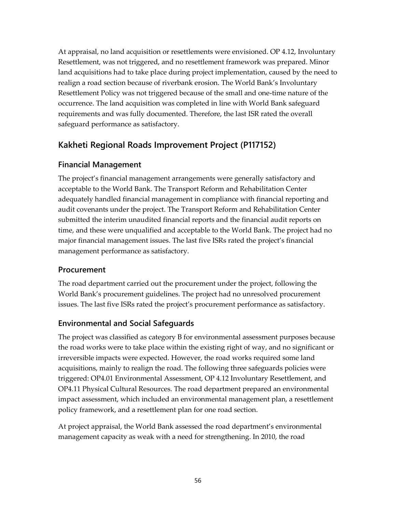At appraisal, no land acquisition or resettlements were envisioned. OP 4.12, Involuntary Resettlement, was not triggered, and no resettlement framework was prepared. Minor land acquisitions had to take place during project implementation, caused by the need to realign a road section because of riverbank erosion. The World Bank's Involuntary Resettlement Policy was not triggered because of the small and one-time nature of the occurrence. The land acquisition was completed in line with World Bank safeguard requirements and was fully documented. Therefore, the last ISR rated the overall safeguard performance as satisfactory.

## **Kakheti Regional Roads Improvement Project (P117152)**

## **Financial Management**

The project's financial management arrangements were generally satisfactory and acceptable to the World Bank. The Transport Reform and Rehabilitation Center adequately handled financial management in compliance with financial reporting and audit covenants under the project. The Transport Reform and Rehabilitation Center submitted the interim unaudited financial reports and the financial audit reports on time, and these were unqualified and acceptable to the World Bank. The project had no major financial management issues. The last five ISRs rated the project's financial management performance as satisfactory.

## **Procurement**

The road department carried out the procurement under the project, following the World Bank's procurement guidelines. The project had no unresolved procurement issues. The last five ISRs rated the project's procurement performance as satisfactory.

## **Environmental and Social Safeguards**

The project was classified as category B for environmental assessment purposes because the road works were to take place within the existing right of way, and no significant or irreversible impacts were expected. However, the road works required some land acquisitions, mainly to realign the road. The following three safeguards policies were triggered: OP4.01 Environmental Assessment, OP 4.12 Involuntary Resettlement, and OP4.11 Physical Cultural Resources. The road department prepared an environmental impact assessment, which included an environmental management plan, a resettlement policy framework, and a resettlement plan for one road section.

At project appraisal, the World Bank assessed the road department's environmental management capacity as weak with a need for strengthening. In 2010, the road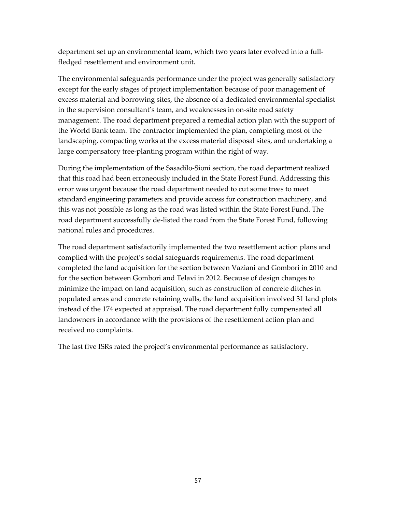department set up an environmental team, which two years later evolved into a fullfledged resettlement and environment unit.

The environmental safeguards performance under the project was generally satisfactory except for the early stages of project implementation because of poor management of excess material and borrowing sites, the absence of a dedicated environmental specialist in the supervision consultant's team, and weaknesses in on-site road safety management. The road department prepared a remedial action plan with the support of the World Bank team. The contractor implemented the plan, completing most of the landscaping, compacting works at the excess material disposal sites, and undertaking a large compensatory tree-planting program within the right of way.

During the implementation of the Sasadilo-Sioni section, the road department realized that this road had been erroneously included in the State Forest Fund. Addressing this error was urgent because the road department needed to cut some trees to meet standard engineering parameters and provide access for construction machinery, and this was not possible as long as the road was listed within the State Forest Fund. The road department successfully de-listed the road from the State Forest Fund, following national rules and procedures.

The road department satisfactorily implemented the two resettlement action plans and complied with the project's social safeguards requirements. The road department completed the land acquisition for the section between Vaziani and Gombori in 2010 and for the section between Gombori and Telavi in 2012. Because of design changes to minimize the impact on land acquisition, such as construction of concrete ditches in populated areas and concrete retaining walls, the land acquisition involved 31 land plots instead of the 174 expected at appraisal. The road department fully compensated all landowners in accordance with the provisions of the resettlement action plan and received no complaints.

The last five ISRs rated the project's environmental performance as satisfactory.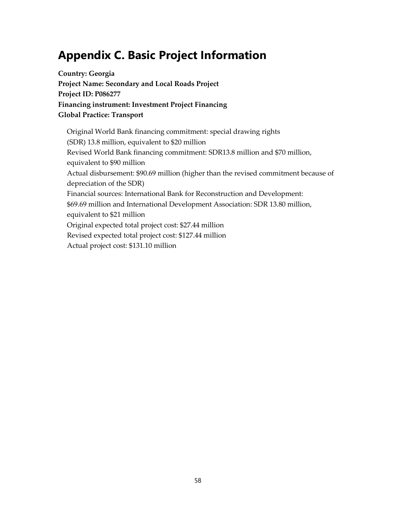# **Appendix C. Basic Project Information**

**Country: Georgia Project Name: Secondary and Local Roads Project Project ID: P086277 Financing instrument: Investment Project Financing Global Practice: Transport**

Original World Bank financing commitment: special drawing rights (SDR) 13.8 million, equivalent to \$20 million Revised World Bank financing commitment: SDR13.8 million and \$70 million, equivalent to \$90 million Actual disbursement: \$90.69 million (higher than the revised commitment because of depreciation of the SDR) Financial sources: International Bank for Reconstruction and Development: \$69.69 million and International Development Association: SDR 13.80 million, equivalent to \$21 million Original expected total project cost: \$27.44 million Revised expected total project cost: \$127.44 million Actual project cost: \$131.10 million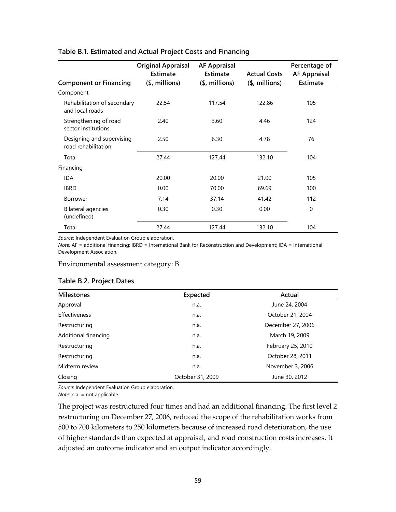|                                                  | <b>Original Appraisal</b><br>Estimate | <b>AF Appraisal</b><br>Estimate | <b>Actual Costs</b> | Percentage of<br><b>AF Appraisal</b> |
|--------------------------------------------------|---------------------------------------|---------------------------------|---------------------|--------------------------------------|
| <b>Component or Financing</b>                    | (\$, millions)                        | (\$, millions)                  | $($,$ millions)     | <b>Estimate</b>                      |
| Component                                        |                                       |                                 |                     |                                      |
| Rehabilitation of secondary<br>and local roads   | 22.54                                 | 117.54                          | 122.86              | 105                                  |
| Strengthening of road<br>sector institutions     | 2.40                                  | 3.60                            | 4.46                | 124                                  |
| Designing and supervising<br>road rehabilitation | 2.50                                  | 6.30                            | 4.78                | 76                                   |
| Total                                            | 27.44                                 | 127.44                          | 132.10              | 104                                  |
| Financing                                        |                                       |                                 |                     |                                      |
| <b>IDA</b>                                       | 20.00                                 | 20.00                           | 21.00               | 105                                  |
| <b>IBRD</b>                                      | 0.00                                  | 70.00                           | 69.69               | 100                                  |
| <b>Borrower</b>                                  | 7.14                                  | 37.14                           | 41.42               | 112                                  |
| Bilateral agencies<br>(undefined)                | 0.30                                  | 0.30                            | 0.00                | $\Omega$                             |
| Total                                            | 27.44                                 | 127.44                          | 132.10              | 104                                  |

#### **Table B.1. Estimated and Actual Project Costs and Financing**

*Source*: Independent Evaluation Group elaboration.

*Note:* AF = additional financing; IBRD = International Bank for Reconstruction and Development; IDA = International Development Association.

#### Environmental assessment category: B

#### **Table B.2. Project Dates**

| <b>Milestones</b>    | <b>Expected</b>  | Actual            |
|----------------------|------------------|-------------------|
| Approval             | n.a.             | June 24, 2004     |
| <b>Effectiveness</b> | n.a.             | October 21, 2004  |
| Restructuring        | n.a.             | December 27, 2006 |
| Additional financing | n.a.             | March 19, 2009    |
| Restructuring        | n.a.             | February 25, 2010 |
| Restructuring        | n.a.             | October 28, 2011  |
| Midterm review       | n.a.             | November 3, 2006  |
| Closing              | October 31, 2009 | June 30, 2012     |

*Source*: Independent Evaluation Group elaboration.

*Note*: n.a. = not applicable.

The project was restructured four times and had an additional financing. The first level 2 restructuring on December 27, 2006, reduced the scope of the rehabilitation works from 500 to 700 kilometers to 250 kilometers because of increased road deterioration, the use of higher standards than expected at appraisal, and road construction costs increases. It adjusted an outcome indicator and an output indicator accordingly.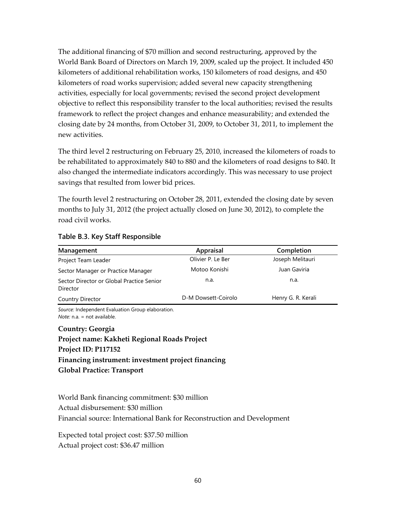The additional financing of \$70 million and second restructuring, approved by the World Bank Board of Directors on March 19, 2009, scaled up the project. It included 450 kilometers of additional rehabilitation works, 150 kilometers of road designs, and 450 kilometers of road works supervision; added several new capacity strengthening activities, especially for local governments; revised the second project development objective to reflect this responsibility transfer to the local authorities; revised the results framework to reflect the project changes and enhance measurability; and extended the closing date by 24 months, from October 31, 2009, to October 31, 2011, to implement the new activities.

The third level 2 restructuring on February 25, 2010, increased the kilometers of roads to be rehabilitated to approximately 840 to 880 and the kilometers of road designs to 840. It also changed the intermediate indicators accordingly. This was necessary to use project savings that resulted from lower bid prices.

The fourth level 2 restructuring on October 28, 2011, extended the closing date by seven months to July 31, 2012 (the project actually closed on June 30, 2012), to complete the road civil works.

| Management                                            | Appraisal           | Completion         |
|-------------------------------------------------------|---------------------|--------------------|
| Project Team Leader                                   | Olivier P. Le Ber   | Joseph Melitauri   |
| Sector Manager or Practice Manager                    | Motoo Konishi       | Juan Gaviria       |
| Sector Director or Global Practice Senior<br>Director | n.a.                | n.a.               |
| Country Director                                      | D-M Dowsett-Coirolo | Henry G. R. Kerali |

#### **Table B.3. Key Staff Responsible**

*Source:* Independent Evaluation Group elaboration. *Note:* n.a. = not available.

## **Country: Georgia Project name: Kakheti Regional Roads Project Project ID: P117152 Financing instrument: investment project financing Global Practice: Transport**

World Bank financing commitment: \$30 million Actual disbursement: \$30 million Financial source: International Bank for Reconstruction and Development

Expected total project cost: \$37.50 million Actual project cost: \$36.47 million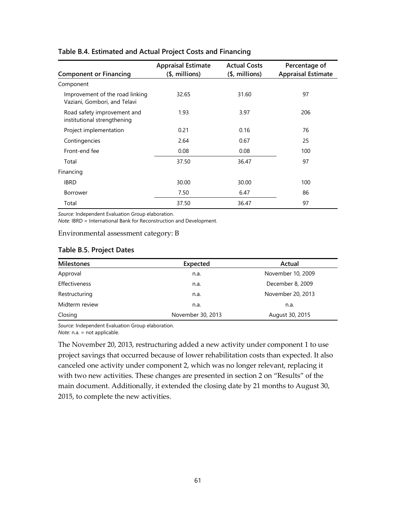| <b>Component or Financing</b>                                   | <b>Appraisal Estimate</b><br>$($,$ millions) | <b>Actual Costs</b><br>$(5, millions)$ | Percentage of<br><b>Appraisal Estimate</b> |
|-----------------------------------------------------------------|----------------------------------------------|----------------------------------------|--------------------------------------------|
| Component                                                       |                                              |                                        |                                            |
| Improvement of the road linking<br>Vaziani, Gombori, and Telavi | 32.65                                        | 31.60                                  | 97                                         |
| Road safety improvement and<br>institutional strengthening      | 1.93                                         | 3.97                                   | 206                                        |
| Project implementation                                          | 0.21                                         | 0.16                                   | 76                                         |
| Contingencies                                                   | 2.64                                         | 0.67                                   | 25                                         |
| Front-end fee                                                   | 0.08                                         | 0.08                                   | 100                                        |
| Total                                                           | 37.50                                        | 36.47                                  | 97                                         |
| Financing                                                       |                                              |                                        |                                            |
| <b>IBRD</b>                                                     | 30.00                                        | 30.00                                  | 100                                        |
| <b>Borrower</b>                                                 | 7.50                                         | 6.47                                   | 86                                         |
| Total                                                           | 37.50                                        | 36.47                                  | 97                                         |

#### **Table B.4. Estimated and Actual Project Costs and Financing**

*Source:* Independent Evaluation Group elaboration.

*Note:* IBRD = International Bank for Reconstruction and Development.

Environmental assessment category: B

| Milestones     | Expected          | Actual            |
|----------------|-------------------|-------------------|
| Approval       | n.a.              | November 10, 2009 |
| Effectiveness  | n.a.              | December 8, 2009  |
| Restructuring  | n.a.              | November 20, 2013 |
| Midterm review | n.a.              | n.a.              |
| Closing        | November 30, 2013 | August 30, 2015   |

*Source:* Independent Evaluation Group elaboration.

*Note:* n.a. = not applicable.

The November 20, 2013, restructuring added a new activity under component 1 to use project savings that occurred because of lower rehabilitation costs than expected. It also canceled one activity under component 2, which was no longer relevant, replacing it with two new activities. These changes are presented in section 2 on "Results" of the main document. Additionally, it extended the closing date by 21 months to August 30, 2015, to complete the new activities.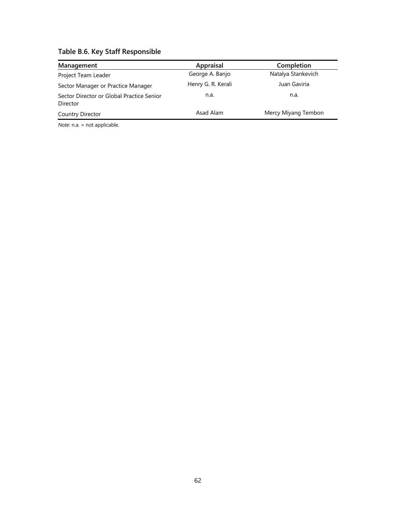| Table B.6. Key Staff Responsible |  |  |  |  |  |
|----------------------------------|--|--|--|--|--|
|----------------------------------|--|--|--|--|--|

| Management                                            | Appraisal          | Completion          |
|-------------------------------------------------------|--------------------|---------------------|
| Project Team Leader                                   | George A. Banjo    | Natalya Stankevich  |
| Sector Manager or Practice Manager                    | Henry G. R. Kerali | Juan Gaviria        |
| Sector Director or Global Practice Senior<br>Director | n.a.               | n.a.                |
| Country Director                                      | Asad Alam          | Mercy Miyang Tembon |

*Note:* n.a. = not applicable.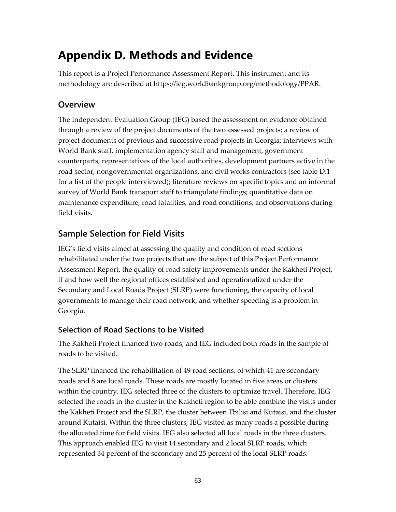# **Appendix D. Methods and Evidence**

This report is a Project Performance Assessment Report. This instrument and its methodology are described at [https://ieg.worldbankgroup.org/methodology/PPAR.](https://ieg.worldbankgroup.org/methodology/PPAR)

## **Overview**

The Independent Evaluation Group (IEG) based the assessment on evidence obtained through a review of the project documents of the two assessed projects; a review of project documents of previous and successive road projects in Georgia; interviews with World Bank staff, implementation agency staff and management, government counterparts, representatives of the local authorities, development partners active in the road sector, nongovernmental organizations, and civil works contractors (see table D.1 for a list of the people interviewed); literature reviews on specific topics and an informal survey of World Bank transport staff to triangulate findings; quantitative data on maintenance expenditure, road fatalities, and road conditions; and observations during field visits.

# **Sample Selection for Field Visits**

IEG's field visits aimed at assessing the quality and condition of road sections rehabilitated under the two projects that are the subject of this Project Performance Assessment Report, the quality of road safety improvements under the Kakheti Project, if and how well the regional offices established and operationalized under the Secondary and Local Roads Project (SLRP) were functioning, the capacity of local governments to manage their road network, and whether speeding is a problem in Georgia.

## **Selection of Road Sections to be Visited**

The Kakheti Project financed two roads, and IEG included both roads in the sample of roads to be visited.

The SLRP financed the rehabilitation of 49 road sections, of which 41 are secondary roads and 8 are local roads. These roads are mostly located in five areas or clusters within the country. IEG selected three of the clusters to optimize travel. Therefore, IEG selected the roads in the cluster in the Kakheti region to be able combine the visits under the Kakheti Project and the SLRP, the cluster between Tbilisi and Kutaisi, and the cluster around Kutaisi. Within the three clusters, IEG visited as many roads a possible during the allocated time for field visits. IEG also selected all local roads in the three clusters. This approach enabled IEG to visit 14 secondary and 2 local SLRP roads, which represented 34 percent of the secondary and 25 percent of the local SLRP roads.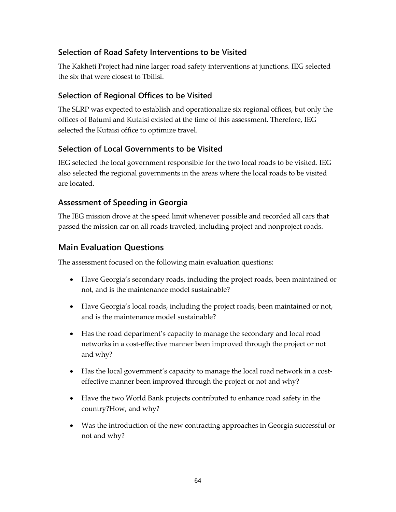## **Selection of Road Safety Interventions to be Visited**

The Kakheti Project had nine larger road safety interventions at junctions. IEG selected the six that were closest to Tbilisi.

## **Selection of Regional Offices to be Visited**

The SLRP was expected to establish and operationalize six regional offices, but only the offices of Batumi and Kutaisi existed at the time of this assessment. Therefore, IEG selected the Kutaisi office to optimize travel.

### **Selection of Local Governments to be Visited**

IEG selected the local government responsible for the two local roads to be visited. IEG also selected the regional governments in the areas where the local roads to be visited are located.

### **Assessment of Speeding in Georgia**

The IEG mission drove at the speed limit whenever possible and recorded all cars that passed the mission car on all roads traveled, including project and nonproject roads.

## **Main Evaluation Questions**

The assessment focused on the following main evaluation questions:

- Have Georgia's secondary roads, including the project roads, been maintained or not, and is the maintenance model sustainable?
- Have Georgia's local roads, including the project roads, been maintained or not, and is the maintenance model sustainable?
- Has the road department's capacity to manage the secondary and local road networks in a cost-effective manner been improved through the project or not and why?
- Has the local government's capacity to manage the local road network in a costeffective manner been improved through the project or not and why?
- Have the two World Bank projects contributed to enhance road safety in the country?How, and why?
- Was the introduction of the new contracting approaches in Georgia successful or not and why?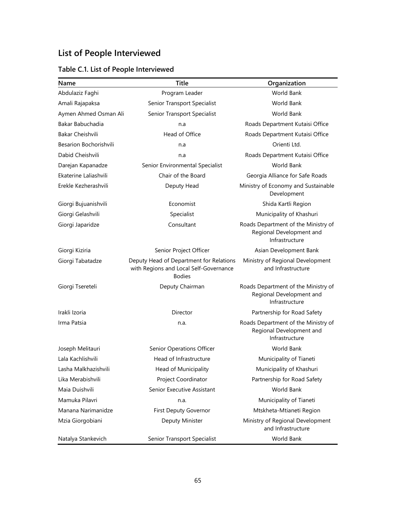# **List of People Interviewed**

|  |  |  | Table C.1. List of People Interviewed |
|--|--|--|---------------------------------------|
|--|--|--|---------------------------------------|

| Name                    | <b>Title</b>                                                                                       | Organization                                                                      |
|-------------------------|----------------------------------------------------------------------------------------------------|-----------------------------------------------------------------------------------|
| Abdulaziz Faghi         | Program Leader                                                                                     | <b>World Bank</b>                                                                 |
| Amali Rajapaksa         | Senior Transport Specialist                                                                        | <b>World Bank</b>                                                                 |
| Aymen Ahmed Osman Ali   | Senior Transport Specialist                                                                        | <b>World Bank</b>                                                                 |
| Bakar Babuchadia        | n.a                                                                                                | Roads Department Kutaisi Office                                                   |
| <b>Bakar Cheishvili</b> | Head of Office                                                                                     | Roads Department Kutaisi Office                                                   |
| Besarion Bochorishvili  | n.a                                                                                                | Orienti Ltd.                                                                      |
| Dabid Cheishvili        | n.a                                                                                                | Roads Department Kutaisi Office                                                   |
| Darejan Kapanadze       | Senior Environmental Specialist                                                                    | <b>World Bank</b>                                                                 |
| Ekaterine Laliashvili   | Chair of the Board                                                                                 | Georgia Alliance for Safe Roads                                                   |
| Erekle Kezherashvili    | Deputy Head                                                                                        | Ministry of Economy and Sustainable<br>Development                                |
| Giorgi Bujuanishvili    | Economist                                                                                          | Shida Kartli Region                                                               |
| Giorgi Gelashvili       | Specialist                                                                                         | Municipality of Khashuri                                                          |
| Giorgi Japaridze        | Consultant                                                                                         | Roads Department of the Ministry of<br>Regional Development and<br>Infrastructure |
| Giorgi Kiziria          | Senior Project Officer                                                                             | Asian Development Bank                                                            |
| Giorgi Tabatadze        | Deputy Head of Department for Relations<br>with Regions and Local Self-Governance<br><b>Bodies</b> | Ministry of Regional Development<br>and Infrastructure                            |
| Giorgi Tsereteli        | Deputy Chairman                                                                                    | Roads Department of the Ministry of<br>Regional Development and<br>Infrastructure |
| Irakli Izoria           | Director                                                                                           | Partnership for Road Safety                                                       |
| Irma Patsia             | n.a.                                                                                               | Roads Department of the Ministry of<br>Regional Development and<br>Infrastructure |
| Joseph Melitauri        | <b>Senior Operations Officer</b>                                                                   | <b>World Bank</b>                                                                 |
| Lala Kachlishvili       | Head of Infrastructure                                                                             | Municipality of Tianeti                                                           |
| Lasha Malkhazishvili    | Head of Municipality                                                                               | Municipality of Khashuri                                                          |
| Lika Merabishvili       | Project Coordinator                                                                                | Partnership for Road Safety                                                       |
| Maia Duishvili          | Senior Executive Assistant                                                                         | World Bank                                                                        |
| Mamuka Pilavri          | n.a.                                                                                               | Municipality of Tianeti                                                           |
| Manana Narimanidze      | First Deputy Governor                                                                              | Mtskheta-Mtianeti Region                                                          |
| Mzia Giorgobiani        | Deputy Minister                                                                                    | Ministry of Regional Development<br>and Infrastructure                            |
| Natalya Stankevich      | Senior Transport Specialist                                                                        | World Bank                                                                        |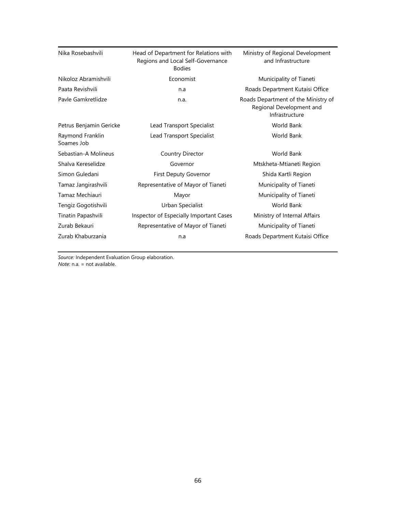| Nika Rosebashvili              | Head of Department for Relations with<br>Regions and Local Self-Governance<br><b>Bodies</b> | Ministry of Regional Development<br>and Infrastructure                            |
|--------------------------------|---------------------------------------------------------------------------------------------|-----------------------------------------------------------------------------------|
| Nikoloz Abramishvili           | Economist                                                                                   | Municipality of Tianeti                                                           |
| Paata Revishvili               | n.a                                                                                         | Roads Department Kutaisi Office                                                   |
| Pavle Gamkretlidze             | n.a.                                                                                        | Roads Department of the Ministry of<br>Regional Development and<br>Infrastructure |
| Petrus Benjamin Gericke        | Lead Transport Specialist                                                                   | <b>World Bank</b>                                                                 |
| Raymond Franklin<br>Soames Job | Lead Transport Specialist                                                                   | World Bank                                                                        |
| Sebastian-A Molineus           | Country Director                                                                            | <b>World Bank</b>                                                                 |
| Shalva Kereselidze             | Governor                                                                                    | Mtskheta-Mtianeti Region                                                          |
| Simon Guledani                 | First Deputy Governor                                                                       | Shida Kartli Region                                                               |
| Tamaz Jangirashvili            | Representative of Mayor of Tianeti                                                          | Municipality of Tianeti                                                           |
| Tamaz Mechiauri                | Mayor                                                                                       | Municipality of Tianeti                                                           |
| Tengiz Gogotishvili            | Urban Specialist                                                                            | <b>World Bank</b>                                                                 |
| Tinatin Papashvili             | Inspector of Especially Important Cases                                                     | Ministry of Internal Affairs                                                      |
| Zurab Bekauri                  | Representative of Mayor of Tianeti                                                          | Municipality of Tianeti                                                           |
| Zurab Khaburzania              | n.a                                                                                         | Roads Department Kutaisi Office                                                   |

*Source:* Independent Evaluation Group elaboration. *Note:* n.a. = not available.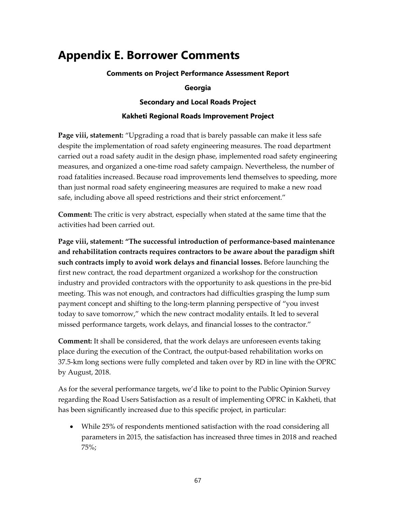# **Appendix E. Borrower Comments**

**Comments on Project Performance Assessment Report**

#### **Georgia**

#### **Secondary and Local Roads Project**

#### **Kakheti Regional Roads Improvement Project**

**Page viii, statement:** "Upgrading a road that is barely passable can make it less safe despite the implementation of road safety engineering measures. The road department carried out a road safety audit in the design phase, implemented road safety engineering measures, and organized a one-time road safety campaign. Nevertheless, the number of road fatalities increased. Because road improvements lend themselves to speeding, more than just normal road safety engineering measures are required to make a new road safe, including above all speed restrictions and their strict enforcement."

**Comment:** The critic is very abstract, especially when stated at the same time that the activities had been carried out.

**Page viii, statement: "The successful introduction of performance-based maintenance and rehabilitation contracts requires contractors to be aware about the paradigm shift such contracts imply to avoid work delays and financial losses.** Before launching the first new contract, the road department organized a workshop for the construction industry and provided contractors with the opportunity to ask questions in the pre-bid meeting. This was not enough, and contractors had difficulties grasping the lump sum payment concept and shifting to the long-term planning perspective of "you invest today to save tomorrow," which the new contract modality entails. It led to several missed performance targets, work delays, and financial losses to the contractor."

**Comment:** It shall be considered, that the work delays are unforeseen events taking place during the execution of the Contract, the output-based rehabilitation works on 37.5-km long sections were fully completed and taken over by RD in line with the OPRC by August, 2018.

As for the several performance targets, we'd like to point to the Public Opinion Survey regarding the Road Users Satisfaction as a result of implementing OPRC in Kakheti, that has been significantly increased due to this specific project, in particular:

• While 25% of respondents mentioned satisfaction with the road considering all parameters in 2015, the satisfaction has increased three times in 2018 and reached 75%;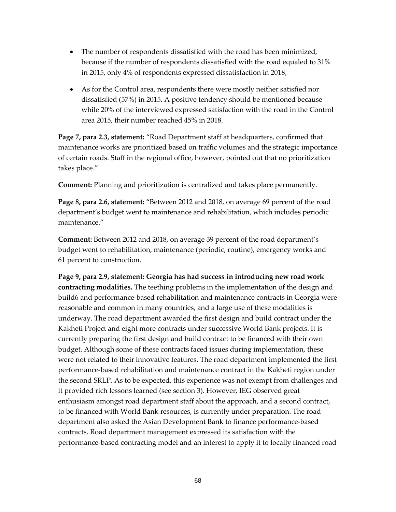- The number of respondents dissatisfied with the road has been minimized, because if the number of respondents dissatisfied with the road equaled to 31% in 2015, only 4% of respondents expressed dissatisfaction in 2018;
- As for the Control area, respondents there were mostly neither satisfied nor dissatisfied (57%) in 2015. A positive tendency should be mentioned because while 20% of the interviewed expressed satisfaction with the road in the Control area 2015, their number reached 45% in 2018.

**Page 7, para 2.3, statement:** "Road Department staff at headquarters, confirmed that maintenance works are prioritized based on traffic volumes and the strategic importance of certain roads. Staff in the regional office, however, pointed out that no prioritization takes place."

**Comment:** Planning and prioritization is centralized and takes place permanently.

**Page 8, para 2.6, statement:** "Between 2012 and 2018, on average 69 percent of the road department's budget went to maintenance and rehabilitation, which includes periodic maintenance."

**Comment:** Between 2012 and 2018, on average 39 percent of the road department's budget went to rehabilitation, maintenance (periodic, routine), emergency works and 61 percent to construction.

**Page 9, para 2.9, statement: Georgia has had success in introducing new road work contracting modalities.** The teething problems in the implementation of the design and build6 and performance-based rehabilitation and maintenance contracts in Georgia were reasonable and common in many countries, and a large use of these modalities is underway. The road department awarded the first design and build contract under the Kakheti Project and eight more contracts under successive World Bank projects. It is currently preparing the first design and build contract to be financed with their own budget. Although some of these contracts faced issues during implementation, these were not related to their innovative features. The road department implemented the first performance-based rehabilitation and maintenance contract in the Kakheti region under the second SRLP. As to be expected, this experience was not exempt from challenges and it provided rich lessons learned (see section 3). However, IEG observed great enthusiasm amongst road department staff about the approach, and a second contract, to be financed with World Bank resources, is currently under preparation. The road department also asked the Asian Development Bank to finance performance-based contracts. Road department management expressed its satisfaction with the performance-based contracting model and an interest to apply it to locally financed road